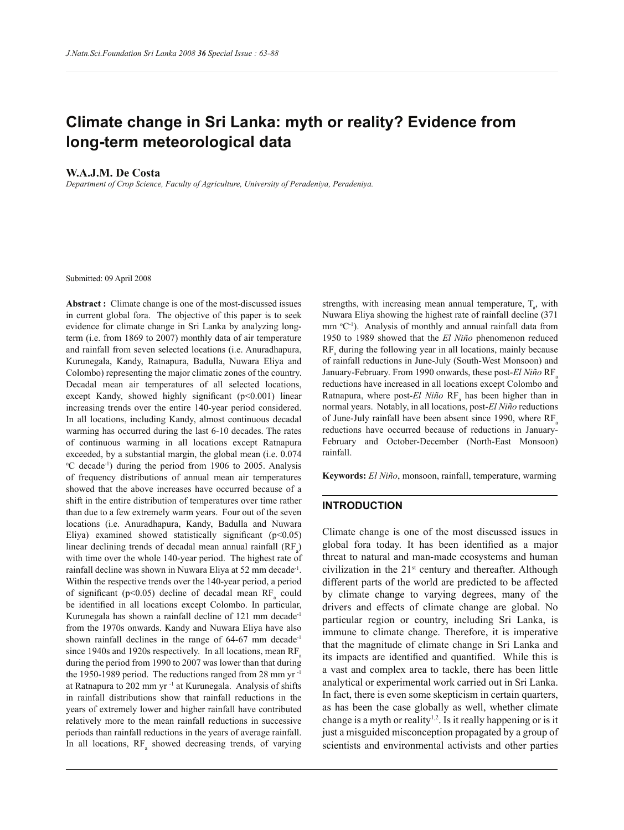# **Climate change in Sri Lanka: myth or reality? Evidence from long-term meteorological data**

### **W.A.J.M. De Costa**

*Department of Crop Science, Faculty of Agriculture, University of Peradeniya, Peradeniya.*

Submitted: 09 April 2008

**Abstract :** Climate change is one of the most-discussed issues in current global fora. The objective of this paper is to seek evidence for climate change in Sri Lanka by analyzing longterm (i.e. from 1869 to 2007) monthly data of air temperature and rainfall from seven selected locations (i.e. Anuradhapura, Kurunegala, Kandy, Ratnapura, Badulla, Nuwara Eliya and Colombo) representing the major climatic zones of the country. Decadal mean air temperatures of all selected locations, except Kandy, showed highly significant (p<0.001) linear increasing trends over the entire 140-year period considered. In all locations, including Kandy, almost continuous decadal warming has occurred during the last 6-10 decades. The rates of continuous warming in all locations except Ratnapura exceeded, by a substantial margin, the global mean (i.e. 0.074 <sup>o</sup>C decade<sup>-1</sup>) during the period from 1906 to 2005. Analysis of frequency distributions of annual mean air temperatures showed that the above increases have occurred because of a shift in the entire distribution of temperatures over time rather than due to a few extremely warm years. Four out of the seven locations (i.e. Anuradhapura, Kandy, Badulla and Nuwara Eliya) examined showed statistically significant  $(p<0.05)$ linear declining trends of decadal mean annual rainfall  $(RF_a)$ with time over the whole 140-year period. The highest rate of rainfall decline was shown in Nuwara Eliya at 52 mm decade-1 . Within the respective trends over the 140-year period, a period of significant ( $p<0.05$ ) decline of decadal mean  $RF_a$  could be identified in all locations except Colombo. In particular, Kurunegala has shown a rainfall decline of 121 mm decade-1 from the 1970s onwards. Kandy and Nuwara Eliya have also shown rainfall declines in the range of 64-67 mm decade-1 since 1940s and 1920s respectively. In all locations, mean  $RF<sub>a</sub>$ during the period from 1990 to 2007 was lower than that during the 1950-1989 period. The reductions ranged from 28 mm yr -1 at Ratnapura to 202 mm yr -1 at Kurunegala. Analysis of shifts in rainfall distributions show that rainfall reductions in the years of extremely lower and higher rainfall have contributed relatively more to the mean rainfall reductions in successive periods than rainfall reductions in the years of average rainfall. In all locations,  $RF_a$  showed decreasing trends, of varying

strengths, with increasing mean annual temperature,  $T_a$ , with Nuwara Eliya showing the highest rate of rainfall decline (371 mm  ${}^{\circ}C^{-1}$ ). Analysis of monthly and annual rainfall data from 1950 to 1989 showed that the *El Niño* phenomenon reduced  $RF_a$  during the following year in all locations, mainly because of rainfall reductions in June-July (South-West Monsoon) and January-February. From 1990 onwards, these post-*El Niño* RF<sub>a</sub> reductions have increased in all locations except Colombo and Ratnapura, where post-*El Niño* RF<sub>a</sub> has been higher than in normal years. Notably, in all locations, post-*El Niño* reductions of June-July rainfall have been absent since 1990, where  $RF_a$ reductions have occurred because of reductions in January-February and October-December (North-East Monsoon) rainfall.

**Keywords:** *El Niño*, monsoon, rainfall, temperature, warming

#### **INTRODUCTION**

Climate change is one of the most discussed issues in global fora today. It has been identified as a major threat to natural and man-made ecosystems and human civilization in the  $21<sup>st</sup>$  century and thereafter. Although different parts of the world are predicted to be affected by climate change to varying degrees, many of the drivers and effects of climate change are global. No particular region or country, including Sri Lanka, is immune to climate change. Therefore, it is imperative that the magnitude of climate change in Sri Lanka and its impacts are identified and quantified. While this is a vast and complex area to tackle, there has been little analytical or experimental work carried out in Sri Lanka. In fact, there is even some skepticism in certain quarters, as has been the case globally as well, whether climate change is a myth or reality<sup>1,2</sup>. Is it really happening or is it just a misguided misconception propagated by a group of scientists and environmental activists and other parties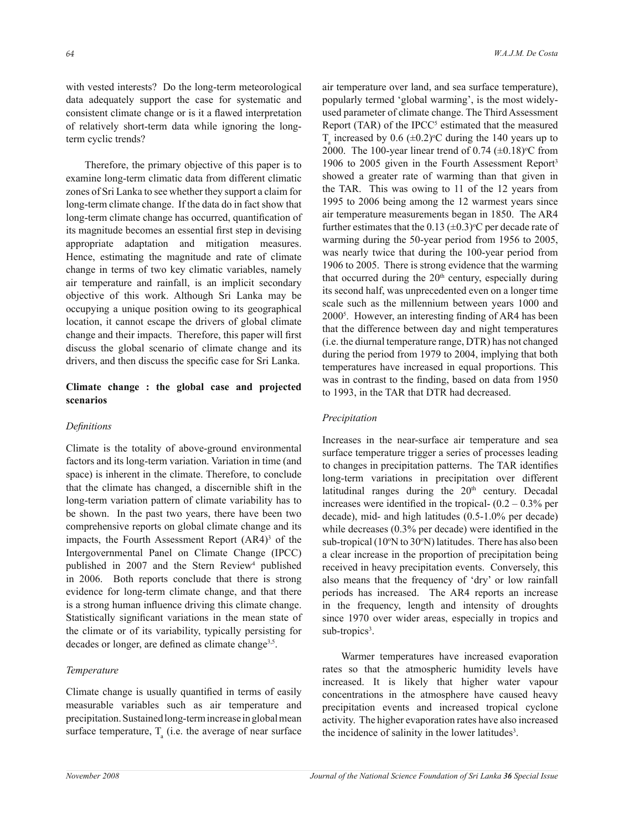with vested interests? Do the long-term meteorological data adequately support the case for systematic and consistent climate change or is it a flawed interpretation of relatively short-term data while ignoring the longterm cyclic trends?

 Therefore, the primary objective of this paper is to examine long-term climatic data from different climatic zones of Sri Lanka to see whether they support a claim for long-term climate change. If the data do in fact show that long-term climate change has occurred, quantification of its magnitude becomes an essential first step in devising appropriate adaptation and mitigation measures. Hence, estimating the magnitude and rate of climate change in terms of two key climatic variables, namely air temperature and rainfall, is an implicit secondary objective of this work. Although Sri Lanka may be occupying a unique position owing to its geographical location, it cannot escape the drivers of global climate change and their impacts. Therefore, this paper will first discuss the global scenario of climate change and its drivers, and then discuss the specific case for Sri Lanka.

# **Climate change : the global case and projected scenarios**

### *Definitions*

Climate is the totality of above-ground environmental factors and its long-term variation. Variation in time (and space) is inherent in the climate. Therefore, to conclude that the climate has changed, a discernible shift in the long-term variation pattern of climate variability has to be shown. In the past two years, there have been two comprehensive reports on global climate change and its impacts, the Fourth Assessment Report  $(AR4)<sup>3</sup>$  of the Intergovernmental Panel on Climate Change (IPCC) published in 2007 and the Stern Review<sup>4</sup> published in 2006. Both reports conclude that there is strong evidence for long-term climate change, and that there is a strong human influence driving this climate change. Statistically significant variations in the mean state of the climate or of its variability, typically persisting for decades or longer, are defined as climate change<sup>3,5</sup>.

### *Temperature*

Climate change is usually quantified in terms of easily measurable variables such as air temperature and precipitation. Sustained long-term increase in global mean surface temperature,  $T_a$  (i.e. the average of near surface

air temperature over land, and sea surface temperature), popularly termed 'global warming', is the most widelyused parameter of climate change. The Third Assessment Report (TAR) of the IPCC $5$  estimated that the measured  $T_a$  increased by 0.6 ( $\pm$ 0.2)<sup>o</sup>C during the 140 years up to 2000. The 100-year linear trend of 0.74  $(\pm 0.18)$ °C from 1906 to 2005 given in the Fourth Assessment Report<sup>3</sup> showed a greater rate of warming than that given in the TAR. This was owing to 11 of the 12 years from 1995 to 2006 being among the 12 warmest years since air temperature measurements began in 1850. The AR4 further estimates that the 0.13 ( $\pm$ 0.3)<sup>o</sup>C per decade rate of warming during the 50-year period from 1956 to 2005, was nearly twice that during the 100-year period from 1906 to 2005. There is strong evidence that the warming that occurred during the  $20<sup>th</sup>$  century, especially during its second half, was unprecedented even on a longer time scale such as the millennium between years 1000 and 2000<sup>5</sup> . However, an interesting finding of AR4 has been that the difference between day and night temperatures (i.e. the diurnal temperature range, DTR) has not changed during the period from 1979 to 2004, implying that both temperatures have increased in equal proportions. This was in contrast to the finding, based on data from 1950 to 1993, in the TAR that DTR had decreased.

#### *Precipitation*

Increases in the near-surface air temperature and sea surface temperature trigger a series of processes leading to changes in precipitation patterns. The TAR identifies long-term variations in precipitation over different latitudinal ranges during the  $20<sup>th</sup>$  century. Decadal increases were identified in the tropical-  $(0.2 - 0.3\%$  per decade), mid- and high latitudes (0.5-1.0% per decade) while decreases (0.3% per decade) were identified in the sub-tropical ( $10^{\circ}$ N to  $30^{\circ}$ N) latitudes. There has also been a clear increase in the proportion of precipitation being received in heavy precipitation events. Conversely, this also means that the frequency of 'dry' or low rainfall periods has increased. The AR4 reports an increase in the frequency, length and intensity of droughts since 1970 over wider areas, especially in tropics and sub-tropics<sup>3</sup>.

 Warmer temperatures have increased evaporation rates so that the atmospheric humidity levels have increased. It is likely that higher water vapour concentrations in the atmosphere have caused heavy precipitation events and increased tropical cyclone activity. The higher evaporation rates have also increased the incidence of salinity in the lower latitudes<sup>3</sup>.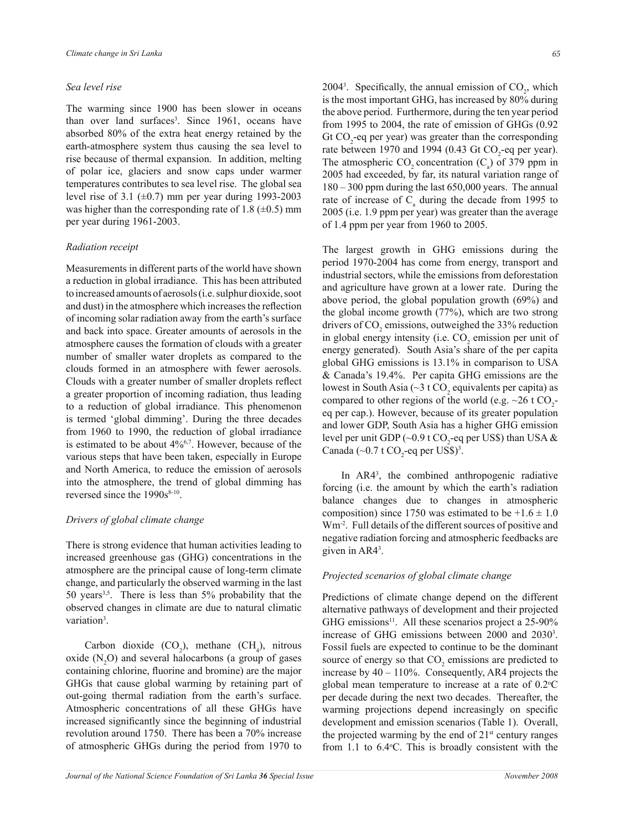### *Sea level rise*

The warming since 1900 has been slower in oceans than over land surfaces<sup>3</sup>. Since 1961, oceans have absorbed 80% of the extra heat energy retained by the earth-atmosphere system thus causing the sea level to rise because of thermal expansion. In addition, melting of polar ice, glaciers and snow caps under warmer temperatures contributes to sea level rise. The global sea level rise of 3.1  $(\pm 0.7)$  mm per year during 1993-2003 was higher than the corresponding rate of 1.8 ( $\pm$ 0.5) mm per year during 1961-2003.

### *Radiation receipt*

Measurements in different parts of the world have shown a reduction in global irradiance. This has been attributed to increased amounts of aerosols (i.e. sulphur dioxide, soot and dust) in the atmosphere which increases the reflection of incoming solar radiation away from the earth's surface and back into space. Greater amounts of aerosols in the atmosphere causes the formation of clouds with a greater number of smaller water droplets as compared to the clouds formed in an atmosphere with fewer aerosols. Clouds with a greater number of smaller droplets reflect a greater proportion of incoming radiation, thus leading to a reduction of global irradiance. This phenomenon is termed 'global dimming'. During the three decades from 1960 to 1990, the reduction of global irradiance is estimated to be about 4%6,7. However, because of the various steps that have been taken, especially in Europe and North America, to reduce the emission of aerosols into the atmosphere, the trend of global dimming has reversed since the  $1990s^{8-10}$ .

### *Drivers of global climate change*

There is strong evidence that human activities leading to increased greenhouse gas (GHG) concentrations in the atmosphere are the principal cause of long-term climate change, and particularly the observed warming in the last 50 years<sup>3,5</sup>. There is less than 5% probability that the observed changes in climate are due to natural climatic variation<sup>3</sup>.

Carbon dioxide  $(CO_2)$ , methane  $(CH_4)$ , nitrous oxide  $(N, O)$  and several halocarbons (a group of gases containing chlorine, fluorine and bromine) are the major GHGs that cause global warming by retaining part of out-going thermal radiation from the earth's surface. Atmospheric concentrations of all these GHGs have increased significantly since the beginning of industrial revolution around 1750. There has been a 70% increase of atmospheric GHGs during the period from 1970 to

2004<sup>3</sup>. Specifically, the annual emission of  $CO<sub>2</sub>$ , which is the most important GHG, has increased by 80% during the above period. Furthermore, during the ten year period from 1995 to 2004, the rate of emission of GHGs (0.92 Gt  $CO_2$ -eq per year) was greater than the corresponding rate between 1970 and 1994 (0.43 Gt  $CO<sub>2</sub>$ -eq per year). The atmospheric  $CO_2$  concentration  $(C_a)$  of 379 ppm in 2005 had exceeded, by far, its natural variation range of 180 – 300 ppm during the last 650,000 years. The annual rate of increase of  $C_a$  during the decade from 1995 to 2005 (i.e. 1.9 ppm per year) was greater than the average of 1.4 ppm per year from 1960 to 2005.

The largest growth in GHG emissions during the period 1970-2004 has come from energy, transport and industrial sectors, while the emissions from deforestation and agriculture have grown at a lower rate. During the above period, the global population growth (69%) and the global income growth (77%), which are two strong drivers of  $CO_2$  emissions, outweighed the 33% reduction in global energy intensity (i.e.  $CO_2$  emission per unit of energy generated). South Asia's share of the per capita global GHG emissions is 13.1% in comparison to USA & Canada's 19.4%. Per capita GHG emissions are the lowest in South Asia ( $\sim$ 3 t CO<sub>2</sub> equivalents per capita) as compared to other regions of the world (e.g.  $\sim$ 26 t CO<sub>2</sub>eq per cap.). However, because of its greater population and lower GDP, South Asia has a higher GHG emission level per unit GDP (~0.9 t CO<sub>2</sub>-eq per US\$) than USA  $\&$ Canada  $(\sim 0.7 \text{ t CO}_2\text{-eq} \text{ per US\$ \$})^3.

 In AR4<sup>3</sup> , the combined anthropogenic radiative forcing (i.e. the amount by which the earth's radiation balance changes due to changes in atmospheric composition) since 1750 was estimated to be  $+1.6 \pm 1.0$ Wm-2. Full details of the different sources of positive and negative radiation forcing and atmospheric feedbacks are given in AR4<sup>3</sup> .

### *Projected scenarios of global climate change*

Predictions of climate change depend on the different alternative pathways of development and their projected GHG emissions<sup>11</sup>. All these scenarios project a 25-90% increase of GHG emissions between 2000 and 2030<sup>3</sup>. Fossil fuels are expected to continue to be the dominant source of energy so that  $CO_2$  emissions are predicted to increase by  $40 - 110\%$ . Consequently, AR4 projects the global mean temperature to increase at a rate of  $0.2^{\circ}$ C per decade during the next two decades. Thereafter, the warming projections depend increasingly on specific development and emission scenarios (Table 1). Overall, the projected warming by the end of  $21<sup>st</sup>$  century ranges from  $1.1$  to  $6.4$ °C. This is broadly consistent with the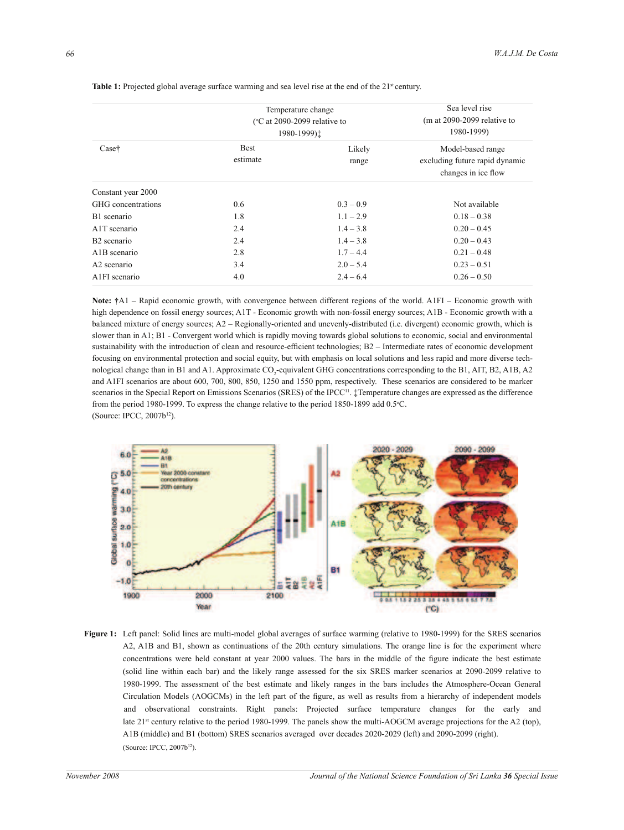|                            | Temperature change<br>$\degree$ C at 2090-2099 relative to<br>1980-1999): | Sea level rise<br>$(m at 2090-2099$ relative to<br>1980-1999) |                                                                            |
|----------------------------|---------------------------------------------------------------------------|---------------------------------------------------------------|----------------------------------------------------------------------------|
| Case†                      | <b>Best</b><br>estimate                                                   | Likely<br>range                                               | Model-based range<br>excluding future rapid dynamic<br>changes in ice flow |
| Constant year 2000         |                                                                           |                                                               |                                                                            |
| GHG concentrations         | 0.6                                                                       | $0.3 - 0.9$                                                   | Not available                                                              |
| B <sub>1</sub> scenario    | 1.8                                                                       | $1.1 - 2.9$                                                   | $0.18 - 0.38$                                                              |
| A <sub>1</sub> T scenario  | 2.4                                                                       | $1.4 - 3.8$                                                   | $0.20 - 0.45$                                                              |
| B <sub>2</sub> scenario    | 2.4                                                                       | $1.4 - 3.8$                                                   | $0.20 - 0.43$                                                              |
| A <sub>1</sub> B scenario  | 2.8                                                                       | $1.7 - 4.4$                                                   | $0.21 - 0.48$                                                              |
| A <sub>2</sub> scenario    | 3.4                                                                       | $2.0 - 5.4$                                                   | $0.23 - 0.51$                                                              |
| A <sub>1</sub> FI scenario | 4.0                                                                       | $2.4 - 6.4$                                                   | $0.26 - 0.50$                                                              |

Table 1: Projected global average surface warming and sea level rise at the end of the 21<sup>st</sup> century.

**Note: †**A1 – Rapid economic growth, with convergence between different regions of the world. A1FI – Economic growth with high dependence on fossil energy sources; A1T - Economic growth with non-fossil energy sources; A1B - Economic growth with a balanced mixture of energy sources; A2 – Regionally-oriented and unevenly-distributed (i.e. divergent) economic growth, which is slower than in A1; B1 - Convergent world which is rapidly moving towards global solutions to economic, social and environmental sustainability with the introduction of clean and resource-efficient technologies; B2 – Intermediate rates of economic development focusing on environmental protection and social equity, but with emphasis on local solutions and less rapid and more diverse technological change than in B1 and A1. Approximate  $CO_2$ -equivalent GHG concentrations corresponding to the B1, AIT, B2, A1B, A2 and A1FI scenarios are about 600, 700, 800, 850, 1250 and 1550 ppm, respectively. These scenarios are considered to be marker scenarios in the Special Report on Emissions Scenarios (SRES) of the IPCC<sup>11</sup>. ‡Temperature changes are expressed as the difference from the period 1980-1999. To express the change relative to the period 1850-1899 add 0.5°C. (Source: IPCC, 2007b<sup>12</sup>).



**Figure 1:** Left panel: Solid lines are multi-model global averages of surface warming (relative to 1980-1999) for the SRES scenarios A2, A1B and B1, shown as continuations of the 20th century simulations. The orange line is for the experiment where concentrations were held constant at year 2000 values. The bars in the middle of the figure indicate the best estimate (solid line within each bar) and the likely range assessed for the six SRES marker scenarios at 2090-2099 relative to 1980-1999. The assessment of the best estimate and likely ranges in the bars includes the Atmosphere-Ocean General Circulation Models (AOGCMs) in the left part of the figure, as well as results from a hierarchy of independent models and observational constraints. Right panels: Projected surface temperature changes for the early and late 21<sup>st</sup> century relative to the period 1980-1999. The panels show the multi-AOGCM average projections for the A2 (top), A1B (middle) and B1 (bottom) SRES scenarios averaged over decades 2020-2029 (left) and 2090-2099 (right). (Source: IPCC, 2007b12).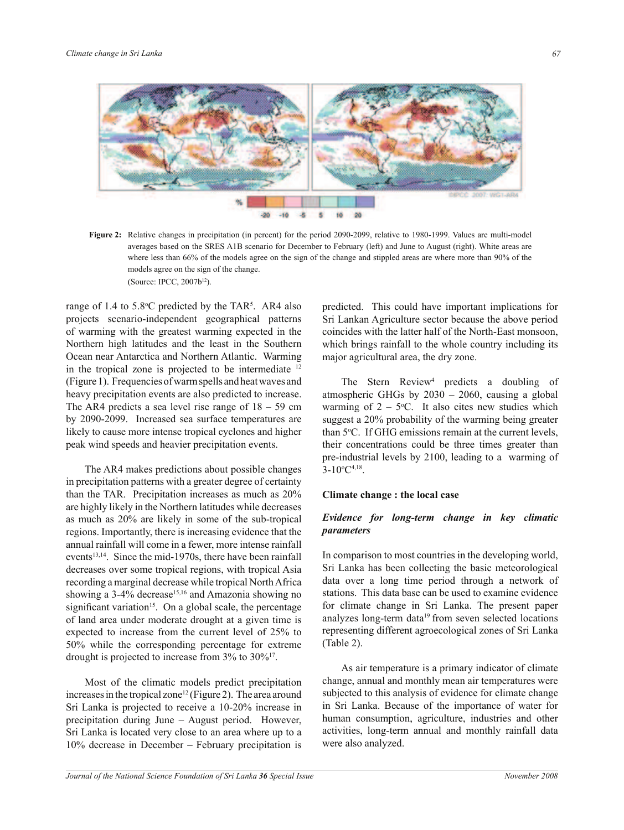

**Figure 2:** Relative changes in precipitation (in percent) for the period 2090-2099, relative to 1980-1999. Values are multi-model averages based on the SRES A1B scenario for December to February (left) and June to August (right). White areas are where less than 66% of the models agree on the sign of the change and stippled areas are where more than 90% of the models agree on the sign of the change. (Source: IPCC, 2007b12).

range of 1.4 to  $5.8^{\circ}$ C predicted by the TAR<sup>5</sup>. AR4 also projects scenario-independent geographical patterns of warming with the greatest warming expected in the Northern high latitudes and the least in the Southern Ocean near Antarctica and Northern Atlantic. Warming in the tropical zone is projected to be intermediate <sup>12</sup> (Figure 1). Frequencies of warm spells and heat waves and heavy precipitation events are also predicted to increase. The AR4 predicts a sea level rise range of  $18 - 59$  cm by 2090-2099. Increased sea surface temperatures are likely to cause more intense tropical cyclones and higher peak wind speeds and heavier precipitation events.

 The AR4 makes predictions about possible changes in precipitation patterns with a greater degree of certainty than the TAR. Precipitation increases as much as 20% are highly likely in the Northern latitudes while decreases as much as 20% are likely in some of the sub-tropical regions. Importantly, there is increasing evidence that the annual rainfall will come in a fewer, more intense rainfall events<sup>13,14</sup>. Since the mid-1970s, there have been rainfall decreases over some tropical regions, with tropical Asia recording a marginal decrease while tropical North Africa showing a  $3-4\%$  decrease<sup>15,16</sup> and Amazonia showing no significant variation<sup>15</sup>. On a global scale, the percentage of land area under moderate drought at a given time is expected to increase from the current level of 25% to 50% while the corresponding percentage for extreme drought is projected to increase from 3% to 30%<sup>17</sup> .

 Most of the climatic models predict precipitation increases in the tropical zone<sup>12</sup> (Figure 2). The area around Sri Lanka is projected to receive a 10-20% increase in precipitation during June – August period. However, Sri Lanka is located very close to an area where up to a 10% decrease in December – February precipitation is

predicted. This could have important implications for Sri Lankan Agriculture sector because the above period coincides with the latter half of the North-East monsoon, which brings rainfall to the whole country including its major agricultural area, the dry zone.

The Stern Review<sup>4</sup> predicts a doubling of atmospheric GHGs by 2030 – 2060, causing a global warming of  $2 - 5$ °C. It also cites new studies which suggest a 20% probability of the warming being greater than 5°C. If GHG emissions remain at the current levels, their concentrations could be three times greater than pre-industrial levels by 2100, leading to a warming of  $3-10^{\circ}C^{4,18}$ .

### **Climate change : the local case**

### *Evidence for long-term change in key climatic parameters*

In comparison to most countries in the developing world, Sri Lanka has been collecting the basic meteorological data over a long time period through a network of stations. This data base can be used to examine evidence for climate change in Sri Lanka. The present paper analyzes long-term data $19$  from seven selected locations representing different agroecological zones of Sri Lanka (Table 2).

 As air temperature is a primary indicator of climate change, annual and monthly mean air temperatures were subjected to this analysis of evidence for climate change in Sri Lanka. Because of the importance of water for human consumption, agriculture, industries and other activities, long-term annual and monthly rainfall data were also analyzed.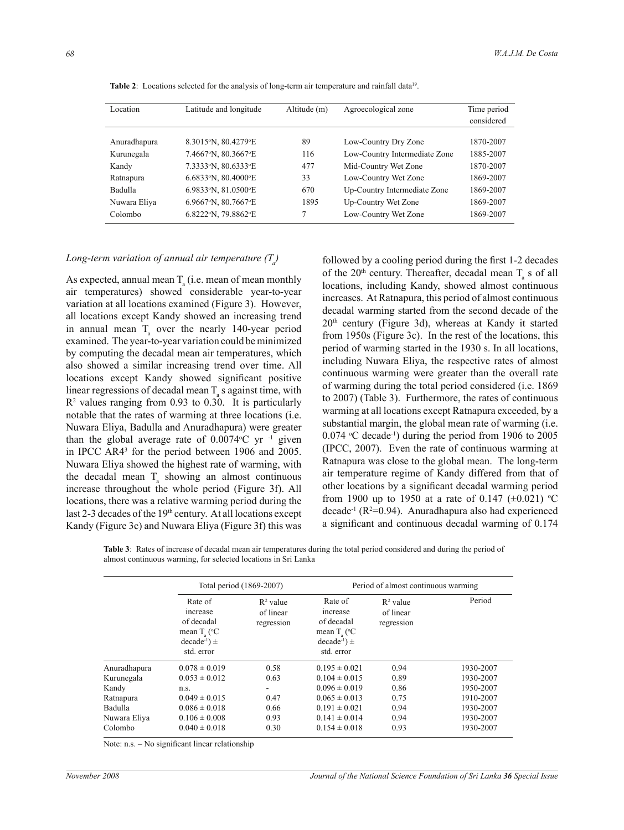| Location     | Latitude and longitude | Altitude (m) | Agroecological zone           | Time period |
|--------------|------------------------|--------------|-------------------------------|-------------|
|              |                        |              |                               | considered  |
|              |                        |              |                               |             |
| Anuradhapura | 8.3015°N, 80.4279°E    | 89           | Low-Country Dry Zone          | 1870-2007   |
| Kurunegala   | 7.4667°N, 80.3667°E    | 116          | Low-Country Intermediate Zone | 1885-2007   |
| Kandy        | 7.3333°N, 80.6333°E    | 477          | Mid-Country Wet Zone          | 1870-2007   |
| Ratnapura    | 6.6833°N, 80.4000°E    | 33           | Low-Country Wet Zone          | 1869-2007   |
| Badulla      | 6.9833°N, 81.0500°E    | 670          | Up-Country Intermediate Zone  | 1869-2007   |

Nuwara Eliya 6.9667°N, 80.7667°E 1895 Up-Country Wet Zone 1869-2007 Colombo 6.8222°N, 79.8862°E 7 Low-Country Wet Zone 1869-2007

Table 2: Locations selected for the analysis of long-term air temperature and rainfall data<sup>19</sup>.

# *Long-term variation of annual air temperature (T<sup>a</sup> )*

As expected, annual mean  $T_a$  (i.e. mean of mean monthly air temperatures) showed considerable year-to-year variation at all locations examined (Figure 3). However, all locations except Kandy showed an increasing trend in annual mean  $T_a$  over the nearly 140-year period examined. The year-to-year variation could be minimized by computing the decadal mean air temperatures, which also showed a similar increasing trend over time. All locations except Kandy showed significant positive linear regressions of decadal mean  $T_a$  s against time, with  $R<sup>2</sup>$  values ranging from 0.93 to 0.30. It is particularly notable that the rates of warming at three locations (i.e. Nuwara Eliya, Badulla and Anuradhapura) were greater than the global average rate of  $0.0074$ °C yr  $^{-1}$  given in IPCC AR4<sup>3</sup> for the period between 1906 and 2005. Nuwara Eliya showed the highest rate of warming, with the decadal mean  $T_a$  showing an almost continuous increase throughout the whole period (Figure 3f). All locations, there was a relative warming period during the last 2-3 decades of the 19<sup>th</sup> century. At all locations except Kandy (Figure 3c) and Nuwara Eliya (Figure 3f) this was

followed by a cooling period during the first 1-2 decades of the 20<sup>th</sup> century. Thereafter, decadal mean  $T_a$  s of all locations, including Kandy, showed almost continuous increases. At Ratnapura, this period of almost continuous decadal warming started from the second decade of the 20th century (Figure 3d), whereas at Kandy it started from 1950s (Figure 3c). In the rest of the locations, this period of warming started in the 1930 s. In all locations, including Nuwara Eliya, the respective rates of almost continuous warming were greater than the overall rate of warming during the total period considered (i.e. 1869 to 2007) (Table 3). Furthermore, the rates of continuous warming at all locations except Ratnapura exceeded, by a substantial margin, the global mean rate of warming (i.e.  $0.074$  °C decade<sup>-1</sup>) during the period from 1906 to 2005 (IPCC, 2007). Even the rate of continuous warming at Ratnapura was close to the global mean. The long-term air temperature regime of Kandy differed from that of other locations by a significant decadal warming period from 1900 up to 1950 at a rate of 0.147 ( $\pm$ 0.021) °C decade<sup>-1</sup> ( $R^2$ =0.94). Anuradhapura also had experienced a significant and continuous decadal warming of 0.174

**Table 3**: Rates of increase of decadal mean air temperatures during the total period considered and during the period of almost continuous warming, for selected locations in Sri Lanka

|                |                                                                                                      | Total period (1869-2007)               | Period of almost continuous warming                                                                 |                                        |           |  |
|----------------|------------------------------------------------------------------------------------------------------|----------------------------------------|-----------------------------------------------------------------------------------------------------|----------------------------------------|-----------|--|
|                | Rate of<br>increase<br>of decadal<br>mean $T_a$ ( ${}^{\circ}C$<br>$decade^{-1}$ $\pm$<br>std. error | $R^2$ value<br>of linear<br>regression | Rate of<br>increase<br>of decadal<br>mean $T_c$ ( ${}^{\circ}C$<br>$decade^{-1}) \pm$<br>std. error | $R^2$ value<br>of linear<br>regression | Period    |  |
| Anuradhapura   | $0.078 \pm 0.019$                                                                                    | 0.58                                   | $0.195 \pm 0.021$                                                                                   | 0.94                                   | 1930-2007 |  |
| Kurunegala     | $0.053 \pm 0.012$                                                                                    | 0.63                                   | $0.104 \pm 0.015$                                                                                   | 0.89                                   | 1930-2007 |  |
| Kandy          | n.S.                                                                                                 |                                        | $0.096 \pm 0.019$                                                                                   | 0.86                                   | 1950-2007 |  |
| Ratnapura      | $0.049 \pm 0.015$                                                                                    | 0.47                                   | $0.065 \pm 0.013$                                                                                   | 0.75                                   | 1910-2007 |  |
| <b>Badulla</b> | $0.086 \pm 0.018$                                                                                    | 0.66                                   | $0.191 \pm 0.021$                                                                                   | 0.94                                   | 1930-2007 |  |
| Nuwara Eliya   | $0.106 \pm 0.008$                                                                                    | 0.93                                   | $0.141 \pm 0.014$                                                                                   | 0.94                                   | 1930-2007 |  |
| Colombo        | $0.040 \pm 0.018$                                                                                    | 0.30                                   | $0.154 \pm 0.018$                                                                                   | 0.93                                   | 1930-2007 |  |

Note: n.s. – No significant linear relationship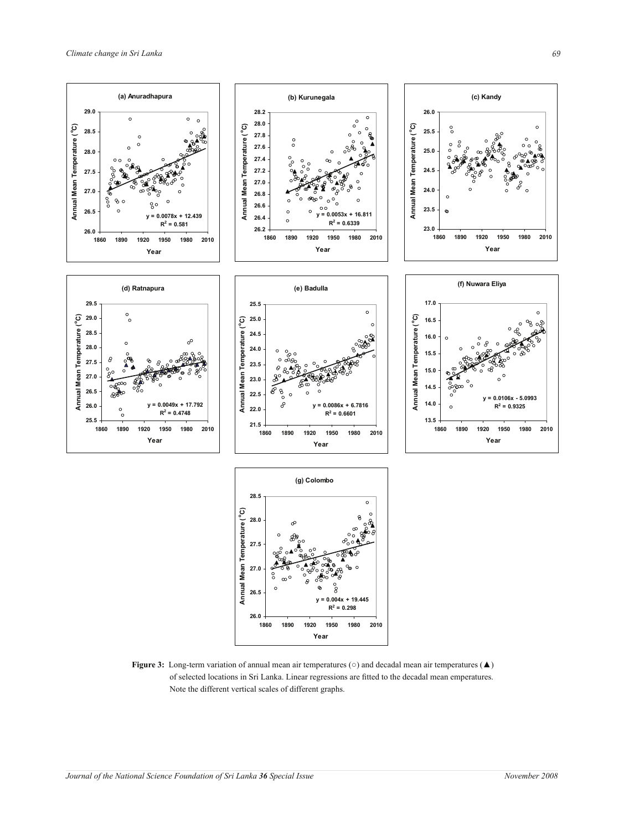

**Figure 3:** Long-term variation of annual mean air temperatures (○) and decadal mean air temperatures (▲) of selected locations in Sri Lanka. Linear regressions are fitted to the decadal mean emperatures. Note the different vertical scales of different graphs.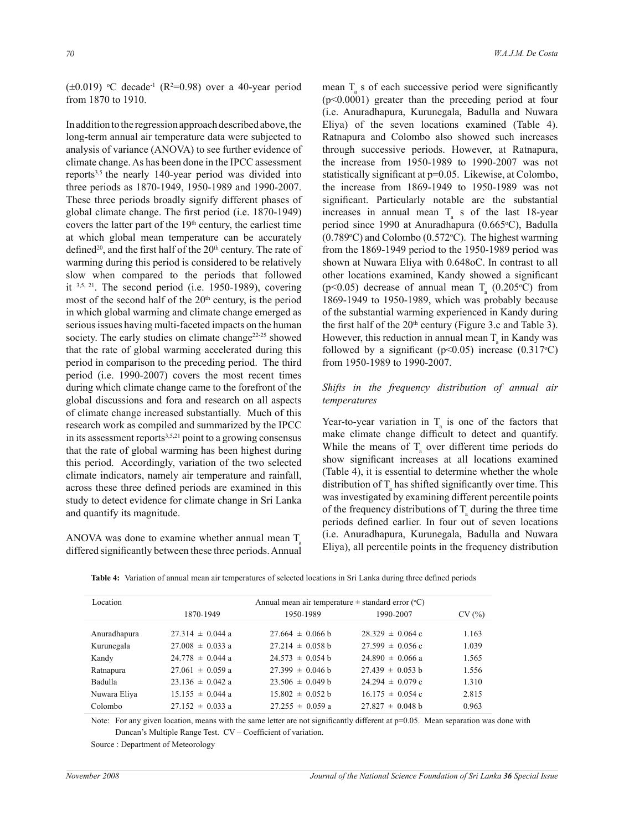$(\pm 0.019)$  °C decade<sup>-1</sup> (R<sup>2</sup>=0.98) over a 40-year period from 1870 to 1910.

In addition to the regression approach described above, the long-term annual air temperature data were subjected to analysis of variance (ANOVA) to see further evidence of climate change. As has been done in the IPCC assessment reports<sup>3,5</sup> the nearly 140-year period was divided into three periods as 1870-1949, 1950-1989 and 1990-2007. These three periods broadly signify different phases of global climate change. The first period (i.e. 1870-1949) covers the latter part of the 19<sup>th</sup> century, the earliest time at which global mean temperature can be accurately defined<sup>20</sup>, and the first half of the  $20<sup>th</sup>$  century. The rate of warming during this period is considered to be relatively slow when compared to the periods that followed it  $3,5, 21$ . The second period (i.e. 1950-1989), covering most of the second half of the  $20<sup>th</sup>$  century, is the period in which global warming and climate change emerged as serious issues having multi-faceted impacts on the human society. The early studies on climate change<sup>22-25</sup> showed that the rate of global warming accelerated during this period in comparison to the preceding period. The third period (i.e. 1990-2007) covers the most recent times during which climate change came to the forefront of the global discussions and fora and research on all aspects of climate change increased substantially. Much of this research work as compiled and summarized by the IPCC in its assessment reports<sup>3,5,21</sup> point to a growing consensus that the rate of global warming has been highest during this period. Accordingly, variation of the two selected climate indicators, namely air temperature and rainfall, across these three defined periods are examined in this study to detect evidence for climate change in Sri Lanka and quantify its magnitude.

ANOVA was done to examine whether annual mean T differed significantly between these three periods. Annual

mean  $T_a$  s of each successive period were significantly (p<0.0001) greater than the preceding period at four (i.e. Anuradhapura, Kurunegala, Badulla and Nuwara Eliya) of the seven locations examined (Table 4). Ratnapura and Colombo also showed such increases through successive periods. However, at Ratnapura, the increase from 1950-1989 to 1990-2007 was not statistically significant at p=0.05. Likewise, at Colombo, the increase from 1869-1949 to 1950-1989 was not significant. Particularly notable are the substantial increases in annual mean  $T_a$  s of the last 18-year period since 1990 at Anuradhapura (0.665°C), Badulla  $(0.789\textdegree C)$  and Colombo  $(0.572\textdegree C)$ . The highest warming from the 1869-1949 period to the 1950-1989 period was shown at Nuwara Eliya with 0.648oC. In contrast to all other locations examined, Kandy showed a significant (p<0.05) decrease of annual mean  $T_a$  (0.205 °C) from 1869-1949 to 1950-1989, which was probably because of the substantial warming experienced in Kandy during the first half of the  $20<sup>th</sup>$  century (Figure 3.c and Table 3). However, this reduction in annual mean  $T_a$  in Kandy was followed by a significant ( $p<0.05$ ) increase (0.317<sup>o</sup>C) from 1950-1989 to 1990-2007.

## *Shifts in the frequency distribution of annual air temperatures*

Year-to-year variation in  $T_a$  is one of the factors that make climate change difficult to detect and quantify. While the means of  $T_a$  over different time periods do show significant increases at all locations examined (Table 4), it is essential to determine whether the whole distribution of  $T_a$  has shifted significantly over time. This was investigated by examining different percentile points of the frequency distributions of  $T_a$  during the three time periods defined earlier. In four out of seven locations (i.e. Anuradhapura, Kurunegala, Badulla and Nuwara Eliya), all percentile points in the frequency distribution

 **Table 4:** Variation of annual mean air temperatures of selected locations in Sri Lanka during three defined periods

| Location       | Annual mean air temperature $\pm$ standard error (°C) |                      |                      |       |  |  |  |
|----------------|-------------------------------------------------------|----------------------|----------------------|-------|--|--|--|
|                | 1870-1949                                             | 1950-1989            | 1990-2007            | CV(%) |  |  |  |
| Anuradhapura   | $27.314 \pm 0.044$ a                                  | $27.664 \pm 0.066$ b | $28.329 \pm 0.064$ c | 1.163 |  |  |  |
| Kurunegala     | $27.008 \pm 0.033$ a                                  | $27.214 \pm 0.058$ b | $27.599 \pm 0.056$ c | 1.039 |  |  |  |
| Kandy          | $24.778 \pm 0.044$ a                                  | $24.573 \pm 0.054$ b | $24.890 \pm 0.066$ a | 1.565 |  |  |  |
| Ratnapura      | $27.061 \pm 0.059$ a                                  | $27.399 \pm 0.046$ b | $27.439 \pm 0.053$ b | 1.556 |  |  |  |
| <b>Badulla</b> | $23.136 \pm 0.042$ a                                  | $23.506 \pm 0.049$ b | $24.294 \pm 0.079$ c | 1.310 |  |  |  |
| Nuwara Eliya   | $15.155 \pm 0.044$ a                                  | $15.802 \pm 0.052$ b | $16.175 \pm 0.054$ c | 2.815 |  |  |  |
| Colombo        | $27.152 \pm 0.033$ a                                  | $27.255 \pm 0.059$ a | $27.827 \pm 0.048$ b | 0.963 |  |  |  |

Note: For any given location, means with the same letter are not significantly different at p=0.05. Mean separation was done with Duncan's Multiple Range Test. CV – Coefficient of variation.

Source : Department of Meteorology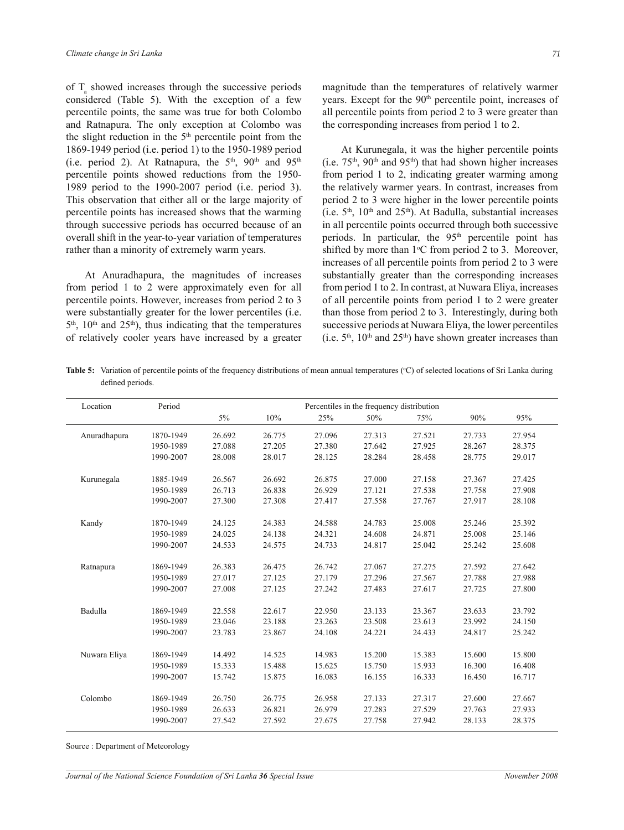of  $T_a$  showed increases through the successive periods considered (Table 5). With the exception of a few percentile points, the same was true for both Colombo and Ratnapura. The only exception at Colombo was the slight reduction in the  $5<sup>th</sup>$  percentile point from the 1869-1949 period (i.e. period 1) to the 1950-1989 period (i.e. period 2). At Ratnapura, the  $5<sup>th</sup>$ ,  $90<sup>th</sup>$  and  $95<sup>th</sup>$ percentile points showed reductions from the 1950- 1989 period to the 1990-2007 period (i.e. period 3). This observation that either all or the large majority of percentile points has increased shows that the warming through successive periods has occurred because of an overall shift in the year-to-year variation of temperatures rather than a minority of extremely warm years.

 At Anuradhapura, the magnitudes of increases from period 1 to 2 were approximately even for all percentile points. However, increases from period 2 to 3 were substantially greater for the lower percentiles (i.e.  $5<sup>th</sup>$ ,  $10<sup>th</sup>$  and  $25<sup>th</sup>$ ), thus indicating that the temperatures of relatively cooler years have increased by a greater

magnitude than the temperatures of relatively warmer years. Except for the 90<sup>th</sup> percentile point, increases of all percentile points from period 2 to 3 were greater than the corresponding increases from period 1 to 2.

 At Kurunegala, it was the higher percentile points (i.e.  $75<sup>th</sup>$ ,  $90<sup>th</sup>$  and  $95<sup>th</sup>$ ) that had shown higher increases from period 1 to 2, indicating greater warming among the relatively warmer years. In contrast, increases from period 2 to 3 were higher in the lower percentile points (i.e.  $5<sup>th</sup>$ ,  $10<sup>th</sup>$  and  $25<sup>th</sup>$ ). At Badulla, substantial increases in all percentile points occurred through both successive periods. In particular, the  $95<sup>th</sup>$  percentile point has shifted by more than  $1^{\circ}$ C from period 2 to 3. Moreover, increases of all percentile points from period 2 to 3 were substantially greater than the corresponding increases from period 1 to 2. In contrast, at Nuwara Eliya, increases of all percentile points from period 1 to 2 were greater than those from period 2 to 3. Interestingly, during both successive periods at Nuwara Eliya, the lower percentiles (i.e.  $5<sup>th</sup>$ ,  $10<sup>th</sup>$  and  $25<sup>th</sup>$ ) have shown greater increases than

**Table 5:** Variation of percentile points of the frequency distributions of mean annual temperatures (°C) of selected locations of Sri Lanka during defined periods.

| Location     | Period    |        |        |        | Percentiles in the frequency distribution |        |        |        |
|--------------|-----------|--------|--------|--------|-------------------------------------------|--------|--------|--------|
|              |           | 5%     | 10%    | 25%    | 50%                                       | 75%    | 90%    | 95%    |
| Anuradhapura | 1870-1949 | 26.692 | 26.775 | 27.096 | 27.313                                    | 27.521 | 27.733 | 27.954 |
|              | 1950-1989 | 27.088 | 27.205 | 27.380 | 27.642                                    | 27.925 | 28.267 | 28.375 |
|              | 1990-2007 | 28.008 | 28.017 | 28.125 | 28.284                                    | 28.458 | 28.775 | 29.017 |
| Kurunegala   | 1885-1949 | 26.567 | 26.692 | 26.875 | 27.000                                    | 27.158 | 27.367 | 27.425 |
|              | 1950-1989 | 26.713 | 26.838 | 26.929 | 27.121                                    | 27.538 | 27.758 | 27.908 |
|              | 1990-2007 | 27.300 | 27.308 | 27.417 | 27.558                                    | 27.767 | 27.917 | 28.108 |
| Kandy        | 1870-1949 | 24.125 | 24.383 | 24.588 | 24.783                                    | 25.008 | 25.246 | 25.392 |
|              | 1950-1989 | 24.025 | 24.138 | 24.321 | 24.608                                    | 24.871 | 25.008 | 25.146 |
|              | 1990-2007 | 24.533 | 24.575 | 24.733 | 24.817                                    | 25.042 | 25.242 | 25.608 |
| Ratnapura    | 1869-1949 | 26.383 | 26.475 | 26.742 | 27.067                                    | 27.275 | 27.592 | 27.642 |
|              | 1950-1989 | 27.017 | 27.125 | 27.179 | 27.296                                    | 27.567 | 27.788 | 27.988 |
|              | 1990-2007 | 27.008 | 27.125 | 27.242 | 27.483                                    | 27.617 | 27.725 | 27.800 |
| Badulla      | 1869-1949 | 22.558 | 22.617 | 22.950 | 23.133                                    | 23.367 | 23.633 | 23.792 |
|              | 1950-1989 | 23.046 | 23.188 | 23.263 | 23.508                                    | 23.613 | 23.992 | 24.150 |
|              | 1990-2007 | 23.783 | 23.867 | 24.108 | 24.221                                    | 24.433 | 24.817 | 25.242 |
| Nuwara Eliya | 1869-1949 | 14.492 | 14.525 | 14.983 | 15.200                                    | 15.383 | 15.600 | 15.800 |
|              | 1950-1989 | 15.333 | 15.488 | 15.625 | 15.750                                    | 15.933 | 16.300 | 16.408 |
|              | 1990-2007 | 15.742 | 15.875 | 16.083 | 16.155                                    | 16.333 | 16.450 | 16.717 |
| Colombo      | 1869-1949 | 26.750 | 26.775 | 26.958 | 27.133                                    | 27.317 | 27.600 | 27.667 |
|              | 1950-1989 | 26.633 | 26.821 | 26.979 | 27.283                                    | 27.529 | 27.763 | 27.933 |
|              | 1990-2007 | 27.542 | 27.592 | 27.675 | 27.758                                    | 27.942 | 28.133 | 28.375 |

Source : Department of Meteorology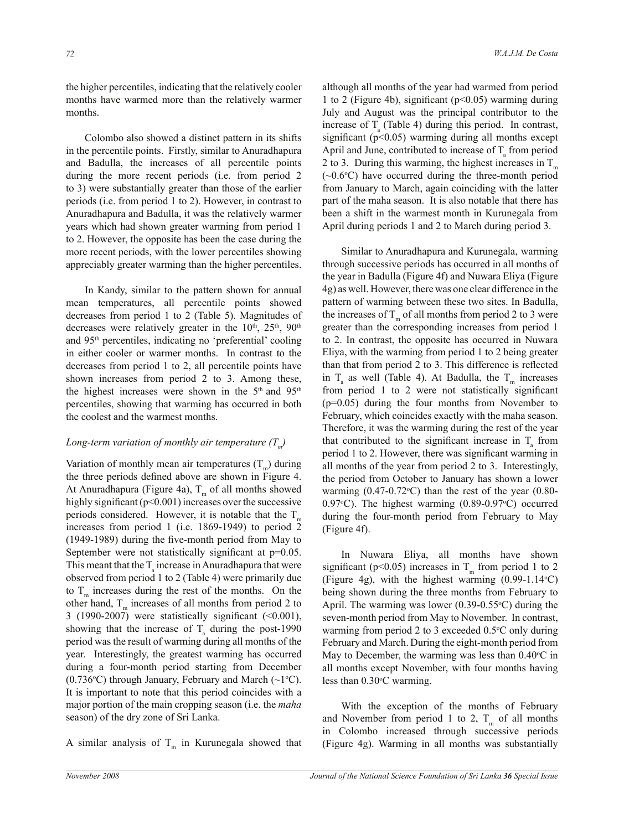the higher percentiles, indicating that the relatively cooler months have warmed more than the relatively warmer months.

 Colombo also showed a distinct pattern in its shifts in the percentile points. Firstly, similar to Anuradhapura and Badulla, the increases of all percentile points during the more recent periods (i.e. from period 2 to 3) were substantially greater than those of the earlier periods (i.e. from period 1 to 2). However, in contrast to Anuradhapura and Badulla, it was the relatively warmer years which had shown greater warming from period 1 to 2. However, the opposite has been the case during the more recent periods, with the lower percentiles showing appreciably greater warming than the higher percentiles.

 In Kandy, similar to the pattern shown for annual mean temperatures, all percentile points showed decreases from period 1 to 2 (Table 5). Magnitudes of decreases were relatively greater in the  $10^{th}$ ,  $25^{th}$ ,  $90^{th}$ and 95th percentiles, indicating no 'preferential' cooling in either cooler or warmer months. In contrast to the decreases from period 1 to 2, all percentile points have shown increases from period 2 to 3. Among these, the highest increases were shown in the  $5<sup>th</sup>$  and  $95<sup>th</sup>$ percentiles, showing that warming has occurred in both the coolest and the warmest months.

# *Long-term variation of monthly air temperature (T<sup>m</sup> )*

Variation of monthly mean air temperatures  $(T_m)$  during the three periods defined above are shown in Figure 4. At Anuradhapura (Figure 4a),  $T_m$  of all months showed highly significant ( $p<0.001$ ) increases over the successive periods considered. However, it is notable that the  $T_{m}$ increases from period 1 (i.e. 1869-1949) to period 2 (1949-1989) during the five-month period from May to September were not statistically significant at p=0.05. This meant that the  $T_a$  increase in Anuradhapura that were observed from period 1 to 2 (Table 4) were primarily due to  $T_m$  increases during the rest of the months. On the other hand,  $T_m$  increases of all months from period 2 to 3 (1990-2007) were statistically significant (<0.001), showing that the increase of  $T_a$  during the post-1990 period was the result of warming during all months of the year. Interestingly, the greatest warming has occurred during a four-month period starting from December (0.736 $\degree$ C) through January, February and March (~1 $\degree$ C). It is important to note that this period coincides with a major portion of the main cropping season (i.e. the *maha* season) of the dry zone of Sri Lanka.

A similar analysis of  $T_m$  in Kurunegala showed that

although all months of the year had warmed from period 1 to 2 (Figure 4b), significant (p<0.05) warming during July and August was the principal contributor to the increase of  $T_a$  (Table 4) during this period. In contrast, significant ( $p<0.05$ ) warming during all months except April and June, contributed to increase of  $T_{\text{a}}$  from period 2 to 3. During this warming, the highest increases in  $T_{m}$  $(\sim 0.6$ °C) have occurred during the three-month period from January to March, again coinciding with the latter part of the maha season. It is also notable that there has been a shift in the warmest month in Kurunegala from April during periods 1 and 2 to March during period 3.

 Similar to Anuradhapura and Kurunegala, warming through successive periods has occurred in all months of the year in Badulla (Figure 4f) and Nuwara Eliya (Figure 4g) as well. However, there was one clear difference in the pattern of warming between these two sites. In Badulla, the increases of  $T_m$  of all months from period 2 to 3 were greater than the corresponding increases from period 1 to 2. In contrast, the opposite has occurred in Nuwara Eliya, with the warming from period 1 to 2 being greater than that from period 2 to 3. This difference is reflected in  $T_a$  as well (Table 4). At Badulla, the  $T_m$  increases from period 1 to 2 were not statistically significant (p=0.05) during the four months from November to February, which coincides exactly with the maha season. Therefore, it was the warming during the rest of the year that contributed to the significant increase in  $T_a$  from period 1 to 2. However, there was significant warming in all months of the year from period 2 to 3. Interestingly, the period from October to January has shown a lower warming  $(0.47-0.72$ °C) than the rest of the year  $(0.80-$ 0.97 $\degree$ C). The highest warming (0.89-0.97 $\degree$ C) occurred during the four-month period from February to May (Figure 4f).

 In Nuwara Eliya, all months have shown significant (p<0.05) increases in  $T_m$  from period 1 to 2 (Figure 4g), with the highest warming  $(0.99-1.14\textdegree C)$ being shown during the three months from February to April. The warming was lower  $(0.39\t{-}0.55\textdegree C)$  during the seven-month period from May to November. In contrast, warming from period 2 to 3 exceeded  $0.5\degree$ C only during February and March. During the eight-month period from May to December, the warming was less than  $0.40^{\circ}$ C in all months except November, with four months having less than  $0.30^{\circ}$ C warming.

 With the exception of the months of February and November from period 1 to 2,  $T_m$  of all months in Colombo increased through successive periods (Figure 4g). Warming in all months was substantially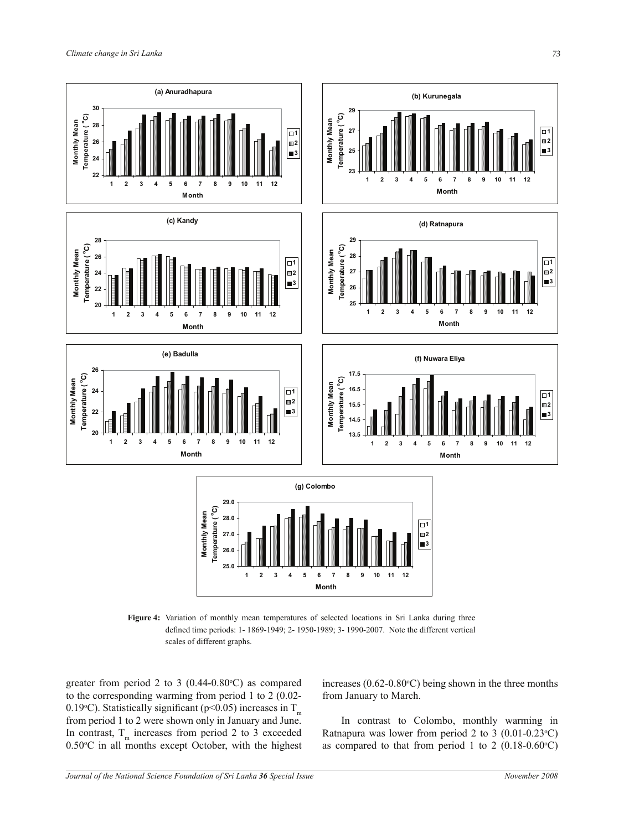

Figure 4: Variation of monthly mean temperatures of selected locations in Sri Lanka during three defined time periods: 1- 1869-1949; 2- 1950-1989; 3- 1990-2007. Note the different vertical scales of different graphs.

greater from period 2 to 3 ( $0.44$ - $0.80$ °C) as compared to the corresponding warming from period 1 to 2 (0.02- 0.19 °C). Statistically significant (p<0.05) increases in  $T_m$ from period 1 to 2 were shown only in January and June. In contrast,  $T_m$  increases from period 2 to 3 exceeded  $0.50^{\circ}$ C in all months except October, with the highest

increases ( $0.62$ - $0.80$ <sup>o</sup>C) being shown in the three months from January to March.

 In contrast to Colombo, monthly warming in Ratnapura was lower from period 2 to 3  $(0.01-0.23\textdegree C)$ as compared to that from period 1 to 2 ( $0.18$ - $0.60$ °C)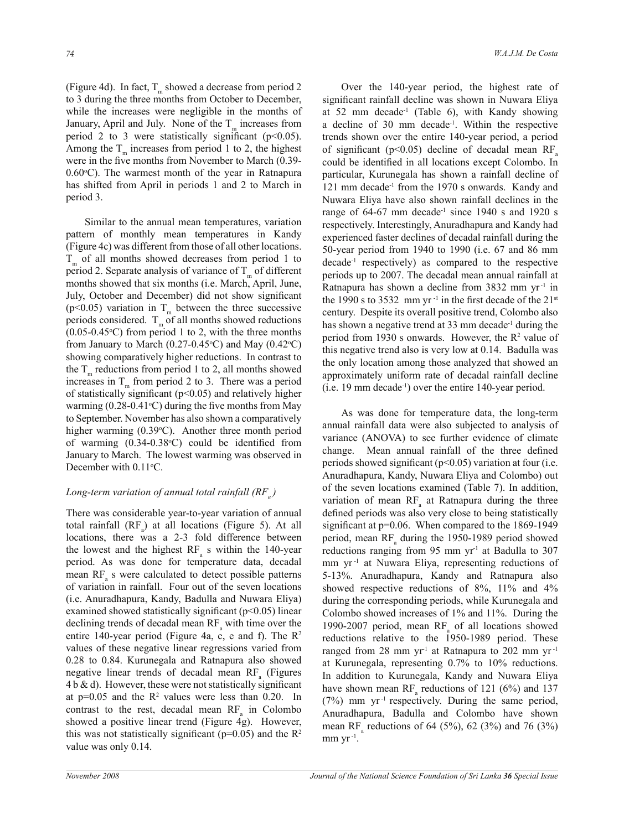(Figure 4d). In fact,  $T_m$  showed a decrease from period 2 to 3 during the three months from October to December, while the increases were negligible in the months of January, April and July. None of the  $T_m$  increases from period 2 to 3 were statistically significant ( $p<0.05$ ). Among the  $T_m$  increases from period 1 to 2, the highest were in the five months from November to March (0.39-  $0.60^{\circ}$ C). The warmest month of the year in Ratnapura has shifted from April in periods 1 and 2 to March in period 3.

 Similar to the annual mean temperatures, variation pattern of monthly mean temperatures in Kandy (Figure 4c) was different from those of all other locations.  $T<sub>m</sub>$  of all months showed decreases from period 1 to period 2. Separate analysis of variance of  $T_m$  of different months showed that six months (i.e. March, April, June, July, October and December) did not show significant (p<0.05) variation in  $T_m$  between the three successive periods considered.  $T_m$  of all months showed reductions  $(0.05-0.45\textdegree C)$  from period 1 to 2, with the three months from January to March (0.27-0.45 $\degree$ C) and May (0.42 $\degree$ C) showing comparatively higher reductions. In contrast to the  $T_m$  reductions from period 1 to 2, all months showed increases in  $T_m$  from period 2 to 3. There was a period of statistically significant (p<0.05) and relatively higher warming  $(0.28-0.41^{\circ}\text{C})$  during the five months from May to September. November has also shown a comparatively higher warming  $(0.39^{\circ}C)$ . Another three month period of warming  $(0.34-0.38$ °C) could be identified from January to March. The lowest warming was observed in December with 0.11°C.

# *Long-term variation of annual total rainfall (RF<sup>a</sup> )*

There was considerable year-to-year variation of annual total rainfall  $(RF_a)$  at all locations (Figure 5). At all locations, there was a 2-3 fold difference between the lowest and the highest  $RF_a$  s within the 140-year period. As was done for temperature data, decadal mean  $RF_a$  s were calculated to detect possible patterns of variation in rainfall. Four out of the seven locations (i.e. Anuradhapura, Kandy, Badulla and Nuwara Eliya) examined showed statistically significant ( $p<0.05$ ) linear declining trends of decadal mean  $RF_a$  with time over the entire 140-year period (Figure 4a, c, e and f). The  $\mathbb{R}^2$ values of these negative linear regressions varied from 0.28 to 0.84. Kurunegala and Ratnapura also showed negative linear trends of decadal mean  $RF_a$  (Figures  $4 b \& d$ ). However, these were not statistically significant at  $p=0.05$  and the  $R^2$  values were less than 0.20. In contrast to the rest, decadal mean  $RF_a$  in Colombo showed a positive linear trend (Figure 4g). However, this was not statistically significant ( $p=0.05$ ) and the  $R^2$ value was only 0.14.

 Over the 140-year period, the highest rate of significant rainfall decline was shown in Nuwara Eliya at 52 mm decade<sup>-1</sup> (Table 6), with Kandy showing a decline of 30 mm decade<sup>-1</sup>. Within the respective trends shown over the entire 140-year period, a period of significant ( $p<0.05$ ) decline of decadal mean RF<sub>a</sub> could be identified in all locations except Colombo. In particular, Kurunegala has shown a rainfall decline of 121 mm decade<sup>-1</sup> from the 1970 s onwards. Kandy and Nuwara Eliya have also shown rainfall declines in the range of  $64-67$  mm decade<sup>-1</sup> since  $1940$  s and  $1920$  s respectively. Interestingly, Anuradhapura and Kandy had experienced faster declines of decadal rainfall during the 50-year period from 1940 to 1990 (i.e. 67 and 86 mm decade-1 respectively) as compared to the respective periods up to 2007. The decadal mean annual rainfall at Ratnapura has shown a decline from 3832 mm yr-1 in the 1990 s to 3532 mm yr<sup>-1</sup> in the first decade of the  $21^{st}$ century. Despite its overall positive trend, Colombo also has shown a negative trend at 33 mm decade<sup>-1</sup> during the period from 1930 s onwards. However, the  $R<sup>2</sup>$  value of this negative trend also is very low at 0.14. Badulla was the only location among those analyzed that showed an approximately uniform rate of decadal rainfall decline  $(i.e. 19 \text{ mm} decade^{-1})$  over the entire 140-year period.

 As was done for temperature data, the long-term annual rainfall data were also subjected to analysis of variance (ANOVA) to see further evidence of climate change. Mean annual rainfall of the three defined periods showed significant ( $p<0.05$ ) variation at four (i.e. Anuradhapura, Kandy, Nuwara Eliya and Colombo) out of the seven locations examined (Table 7). In addition, variation of mean  $RF_a$  at Ratnapura during the three defined periods was also very close to being statistically significant at p=0.06. When compared to the 1869-1949 period, mean  $RF_a$  during the 1950-1989 period showed reductions ranging from 95 mm  $yr<sup>-1</sup>$  at Badulla to 307 mm yr<sup>-1</sup> at Nuwara Eliya, representing reductions of 5-13%. Anuradhapura, Kandy and Ratnapura also showed respective reductions of 8%, 11% and 4% during the corresponding periods, while Kurunegala and Colombo showed increases of 1% and 11%. During the 1990-2007 period, mean  $RF_a$  of all locations showed reductions relative to the 1950-1989 period. These ranged from 28 mm yr<sup>-1</sup> at Ratnapura to 202 mm yr<sup>-1</sup> at Kurunegala, representing 0.7% to 10% reductions. In addition to Kurunegala, Kandy and Nuwara Eliya have shown mean  $RF_a$  reductions of 121 (6%) and 137  $(7%)$  mm yr<sup>-1</sup> respectively. During the same period, Anuradhapura, Badulla and Colombo have shown mean RF<sub>a</sub> reductions of 64 (5%), 62 (3%) and 76 (3%)  $mm yr^{-1}$ .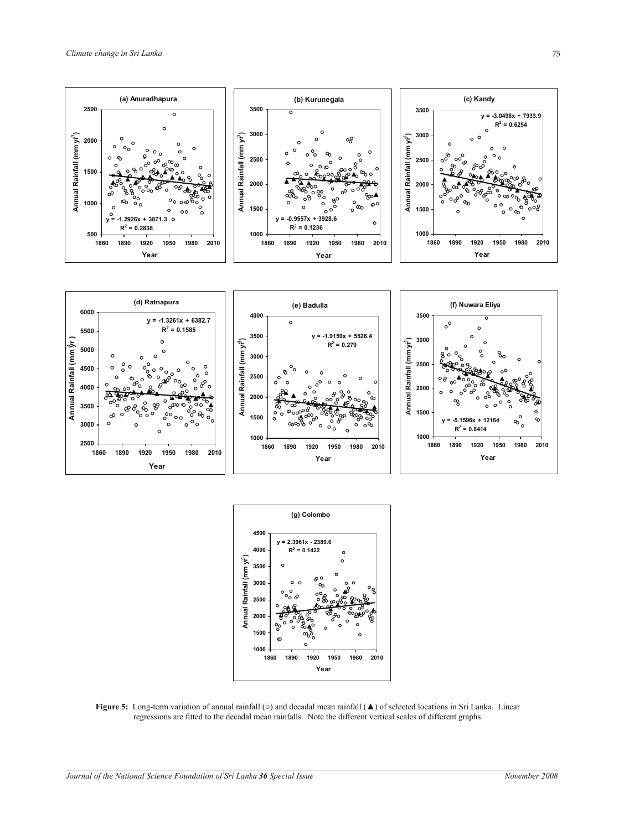



**Figure 5:** Long-term variation of annual rainfall (○) and decadal mean rainfall (▲) of selected locations in Sri Lanka. Linear regressions are fitted to the decadal mean rainfalls. Note the different vertical scales of different graphs.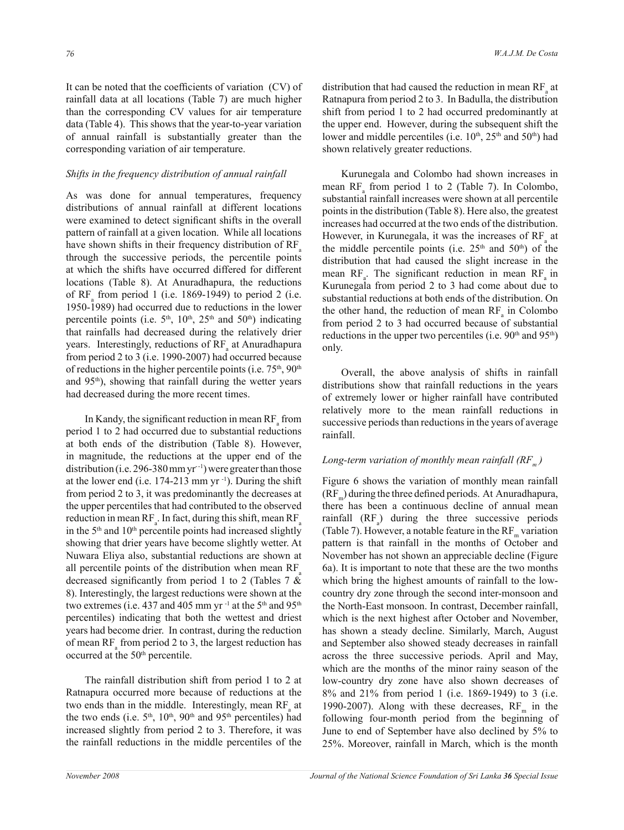It can be noted that the coefficients of variation (CV) of rainfall data at all locations (Table 7) are much higher than the corresponding CV values for air temperature data (Table 4). This shows that the year-to-year variation of annual rainfall is substantially greater than the corresponding variation of air temperature.

### *Shifts in the frequency distribution of annual rainfall*

As was done for annual temperatures, frequency distributions of annual rainfall at different locations were examined to detect significant shifts in the overall pattern of rainfall at a given location. While all locations have shown shifts in their frequency distribution of  $RF<sub>a</sub>$ through the successive periods, the percentile points at which the shifts have occurred differed for different locations (Table 8). At Anuradhapura, the reductions of  $RF_a$  from period 1 (i.e. 1869-1949) to period 2 (i.e. 1950-1989) had occurred due to reductions in the lower percentile points (i.e.  $5<sup>th</sup>$ ,  $10<sup>th</sup>$ ,  $25<sup>th</sup>$  and  $50<sup>th</sup>$ ) indicating that rainfalls had decreased during the relatively drier years. Interestingly, reductions of  $RF_a$  at Anuradhapura from period 2 to 3 (i.e. 1990-2007) had occurred because of reductions in the higher percentile points (i.e.  $75<sup>th</sup>$ ,  $90<sup>th</sup>$ and 95th), showing that rainfall during the wetter years had decreased during the more recent times.

In Kandy, the significant reduction in mean  $RF_a$  from period 1 to 2 had occurred due to substantial reductions at both ends of the distribution (Table 8). However, in magnitude, the reductions at the upper end of the distribution (i.e. 296-380 mm yr<sup>-1</sup>) were greater than those at the lower end (i.e.  $174-213$  mm yr<sup>-1</sup>). During the shift from period 2 to 3, it was predominantly the decreases at the upper percentiles that had contributed to the observed reduction in mean RF<sub>a</sub>. In fact, during this shift, mean RF<sub>a</sub> in the  $5<sup>th</sup>$  and  $10<sup>th</sup>$  percentile points had increased slightly showing that drier years have become slightly wetter. At Nuwara Eliya also, substantial reductions are shown at all percentile points of the distribution when mean  $RF<sub>a</sub>$ decreased significantly from period 1 to 2 (Tables 7 & 8). Interestingly, the largest reductions were shown at the two extremes (i.e. 437 and 405 mm yr<sup>-1</sup> at the 5<sup>th</sup> and 95<sup>th</sup> percentiles) indicating that both the wettest and driest years had become drier. In contrast, during the reduction of mean  $RF_a$  from period 2 to 3, the largest reduction has occurred at the 50<sup>th</sup> percentile.

 The rainfall distribution shift from period 1 to 2 at Ratnapura occurred more because of reductions at the two ends than in the middle. Interestingly, mean  $RF_a$  at the two ends (i.e. 5<sup>th</sup>, 10<sup>th</sup>, 90<sup>th</sup> and 95<sup>th</sup> percentiles) had increased slightly from period 2 to 3. Therefore, it was the rainfall reductions in the middle percentiles of the

distribution that had caused the reduction in mean  $RF_a$  at Ratnapura from period 2 to 3. In Badulla, the distribution shift from period 1 to 2 had occurred predominantly at the upper end. However, during the subsequent shift the lower and middle percentiles (i.e.  $10^{th}$ ,  $25^{th}$  and  $50^{th}$ ) had shown relatively greater reductions.

 Kurunegala and Colombo had shown increases in mean  $RF_a$  from period 1 to 2 (Table 7). In Colombo, substantial rainfall increases were shown at all percentile points in the distribution (Table 8). Here also, the greatest increases had occurred at the two ends of the distribution. However, in Kurunegala, it was the increases of  $RF_a$  at the middle percentile points (i.e.  $25<sup>th</sup>$  and  $50<sup>th</sup>$ ) of the distribution that had caused the slight increase in the mean  $RF_a$ . The significant reduction in mean  $RF_a$  in Kurunegala from period 2 to 3 had come about due to substantial reductions at both ends of the distribution. On the other hand, the reduction of mean  $RF_a$  in Colombo from period 2 to 3 had occurred because of substantial reductions in the upper two percentiles (i.e.  $90<sup>th</sup>$  and  $95<sup>th</sup>$ ) only.

 Overall, the above analysis of shifts in rainfall distributions show that rainfall reductions in the years of extremely lower or higher rainfall have contributed relatively more to the mean rainfall reductions in successive periods than reductions in the years of average rainfall.

# *Long-term variation of monthly mean rainfall (RF<sup>m</sup> )*

Figure 6 shows the variation of monthly mean rainfall  $(RF_m)$  during the three defined periods. At Anuradhapura, there has been a continuous decline of annual mean rainfall  $(RF_a)$  during the three successive periods (Table 7). However, a notable feature in the  $\rm RF_m$  variation pattern is that rainfall in the months of October and November has not shown an appreciable decline (Figure 6a). It is important to note that these are the two months which bring the highest amounts of rainfall to the lowcountry dry zone through the second inter-monsoon and the North-East monsoon. In contrast, December rainfall, which is the next highest after October and November, has shown a steady decline. Similarly, March, August and September also showed steady decreases in rainfall across the three successive periods. April and May, which are the months of the minor rainy season of the low-country dry zone have also shown decreases of 8% and 21% from period 1 (i.e. 1869-1949) to 3 (i.e. 1990-2007). Along with these decreases,  $RF<sub>m</sub>$  in the following four-month period from the beginning of June to end of September have also declined by 5% to 25%. Moreover, rainfall in March, which is the month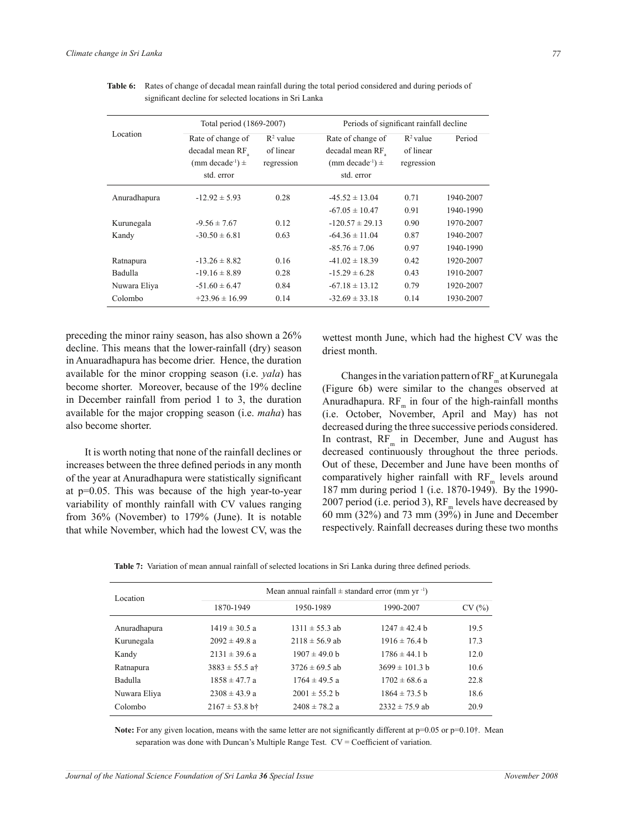|              | Total period (1869-2007)         |                      |                                  | Periods of significant rainfall decline |           |  |  |
|--------------|----------------------------------|----------------------|----------------------------------|-----------------------------------------|-----------|--|--|
| Location     | Rate of change of                | $\mathbb{R}^2$ value | Rate of change of                | $R^2$ value                             | Period    |  |  |
|              | decadal mean RF                  | of linear            | decadal mean RF                  | of linear                               |           |  |  |
|              | (mm decade <sup>-1</sup> ) $\pm$ | regression           | (mm decade <sup>-1</sup> ) $\pm$ | regression                              |           |  |  |
|              | std. error                       |                      | std. error                       |                                         |           |  |  |
| Anuradhapura | $-12.92 \pm 5.93$                | 0.28                 | $-45.52 \pm 13.04$               | 0.71                                    | 1940-2007 |  |  |
|              |                                  |                      | $-67.05 \pm 10.47$               | 0.91                                    | 1940-1990 |  |  |
| Kurunegala   | $-9.56 \pm 7.67$                 | 0.12                 | $-120.57 \pm 29.13$              | 0.90                                    | 1970-2007 |  |  |
| Kandy        | $-30.50 \pm 6.81$                | 0.63                 | $-64.36 \pm 11.04$               | 0.87                                    | 1940-2007 |  |  |
|              |                                  |                      | $-85.76 \pm 7.06$                | 0.97                                    | 1940-1990 |  |  |
| Ratnapura    | $-13.26 \pm 8.82$                | 0.16                 | $-41.02 \pm 18.39$               | 0.42                                    | 1920-2007 |  |  |
| Badulla      | $-19.16 \pm 8.89$                | 0.28                 | $-15.29 \pm 6.28$                | 0.43                                    | 1910-2007 |  |  |
| Nuwara Eliya | $-51.60 \pm 6.47$                | 0.84                 | $-67.18 \pm 13.12$               | 0.79                                    | 1920-2007 |  |  |
| Colombo      | $+23.96 \pm 16.99$               | 0.14                 | $-32.69 \pm 33.18$               | 0.14                                    | 1930-2007 |  |  |

**Table 6:** Rates of change of decadal mean rainfall during the total period considered and during periods of significant decline for selected locations in Sri Lanka

preceding the minor rainy season, has also shown a 26% decline. This means that the lower-rainfall (dry) season in Anuaradhapura has become drier. Hence, the duration available for the minor cropping season (i.e. *yala*) has become shorter. Moreover, because of the 19% decline in December rainfall from period 1 to 3, the duration available for the major cropping season (i.e. *maha*) has also become shorter.

 It is worth noting that none of the rainfall declines or increases between the three defined periods in any month of the year at Anuradhapura were statistically significant at p=0.05. This was because of the high year-to-year variability of monthly rainfall with CV values ranging from 36% (November) to 179% (June). It is notable that while November, which had the lowest CV, was the

wettest month June, which had the highest CV was the driest month.

Changes in the variation pattern of  $\rm RF_m$  at Kurunegala (Figure 6b) were similar to the changes observed at Anuradhapura.  $RF_{m}$  in four of the high-rainfall months (i.e. October, November, April and May) has not decreased during the three successive periods considered. In contrast,  $RF_{m}$  in December, June and August has decreased continuously throughout the three periods. Out of these, December and June have been months of comparatively higher rainfall with  $RF_m$  levels around 187 mm during period 1 (i.e. 1870-1949). By the 1990- 2007 period (i.e. period 3),  $RF_{m}$  levels have decreased by 60 mm (32%) and 73 mm (39%) in June and December respectively. Rainfall decreases during these two months

|  | Table 7: Variation of mean annual rainfall of selected locations in Sri Lanka during three defined periods. |  |  |  |  |  |
|--|-------------------------------------------------------------------------------------------------------------|--|--|--|--|--|
|--|-------------------------------------------------------------------------------------------------------------|--|--|--|--|--|

| Location     |                    | Mean annual rainfall $\pm$ standard error (mm yr <sup>-1</sup> ) |                    |       |  |  |  |  |  |
|--------------|--------------------|------------------------------------------------------------------|--------------------|-------|--|--|--|--|--|
|              | 1870-1949          | 1950-1989                                                        | 1990-2007          | CV(%) |  |  |  |  |  |
| Anuradhapura | $1419 \pm 30.5$ a  | $1311 \pm 55.3$ ab                                               | $1247 \pm 42.4$ b  | 19.5  |  |  |  |  |  |
| Kurunegala   | $2092 \pm 49.8$ a  | $2118 \pm 56.9$ ab                                               | $1916 \pm 76.4$ b  | 17.3  |  |  |  |  |  |
| Kandy        | $2131 \pm 39.6$ a  | $1907 \pm 49.0$ b                                                | $1786 \pm 44.1$ b  | 12.0  |  |  |  |  |  |
| Ratnapura    | $3883 \pm 55.5$ at | $3726 \pm 69.5$ ab                                               | $3699 \pm 101.3$ b | 10.6  |  |  |  |  |  |
| Badulla      | $1858 \pm 47.7$ a  | $1764 \pm 49.5$ a                                                | $1702 \pm 68.6$ a  | 22.8  |  |  |  |  |  |
| Nuwara Eliya | $2308 \pm 43.9$ a  | $2001 \pm 55.2$ b                                                | $1864 \pm 73.5$ b  | 18.6  |  |  |  |  |  |
| Colombo      | $2167 \pm 53.8$ b† | $2408 \pm 78.2$ a                                                | $2332 \pm 75.9$ ab | 20.9  |  |  |  |  |  |
|              |                    |                                                                  |                    |       |  |  |  |  |  |

**Note:** For any given location, means with the same letter are not significantly different at  $p=0.05$  or  $p=0.10$ <sup>\*</sup>. Mean separation was done with Duncan's Multiple Range Test. CV = Coefficient of variation.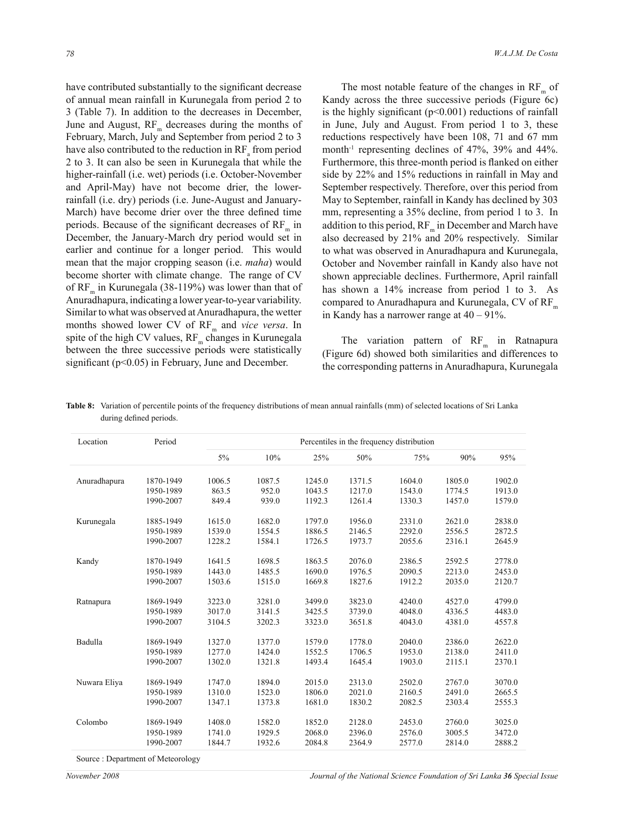have contributed substantially to the significant decrease of annual mean rainfall in Kurunegala from period 2 to 3 (Table 7). In addition to the decreases in December, June and August,  $RF_{m}$  decreases during the months of February, March, July and September from period 2 to 3 have also contributed to the reduction in  $RF_a$  from period 2 to 3. It can also be seen in Kurunegala that while the higher-rainfall (i.e. wet) periods (i.e. October-November and April-May) have not become drier, the lowerrainfall (i.e. dry) periods (i.e. June-August and January-March) have become drier over the three defined time periods. Because of the significant decreases of  $\rm RF_m$  in December, the January-March dry period would set in earlier and continue for a longer period. This would mean that the major cropping season (i.e. *maha*) would become shorter with climate change. The range of CV of  $RF_{m}$  in Kurunegala (38-119%) was lower than that of Anuradhapura, indicating a lower year-to-year variability. Similar to what was observed at Anuradhapura, the wetter months showed lower CV of RF<sub>m</sub> and *vice versa*. In spite of the high CV values,  $RF_{m}$  changes in Kurunegala between the three successive periods were statistically significant (p<0.05) in February, June and December.

The most notable feature of the changes in  $RF_{m}$  of Kandy across the three successive periods (Figure 6c) is the highly significant  $(p<0.001)$  reductions of rainfall in June, July and August. From period 1 to 3, these reductions respectively have been 108, 71 and 67 mm month-1 representing declines of 47%, 39% and 44%. Furthermore, this three-month period is flanked on either side by 22% and 15% reductions in rainfall in May and September respectively. Therefore, over this period from May to September, rainfall in Kandy has declined by 303 mm, representing a 35% decline, from period 1 to 3. In addition to this period,  $RF_m$  in December and March have also decreased by 21% and 20% respectively. Similar to what was observed in Anuradhapura and Kurunegala, October and November rainfall in Kandy also have not shown appreciable declines. Furthermore, April rainfall has shown a 14% increase from period 1 to 3. As compared to Anuradhapura and Kurunegala, CV of  $RF_{m}$ in Kandy has a narrower range at 40 – 91%.

The variation pattern of  $RF_m$  in Ratnapura (Figure 6d) showed both similarities and differences to the corresponding patterns in Anuradhapura, Kurunegala

| Location     | Period    | Percentiles in the frequency distribution |        |        |        |        |        |        |
|--------------|-----------|-------------------------------------------|--------|--------|--------|--------|--------|--------|
|              |           | $5\%$                                     | 10%    | 25%    | 50%    | 75%    | 90%    | 95%    |
| Anuradhapura | 1870-1949 | 1006.5                                    | 1087.5 | 1245.0 | 1371.5 | 1604.0 | 1805.0 | 1902.0 |
|              | 1950-1989 | 863.5                                     | 952.0  | 1043.5 | 1217.0 | 1543.0 | 1774.5 | 1913.0 |
|              | 1990-2007 | 849.4                                     | 939.0  | 1192.3 | 1261.4 | 1330.3 | 1457.0 | 1579.0 |
| Kurunegala   | 1885-1949 | 1615.0                                    | 1682.0 | 1797.0 | 1956.0 | 2331.0 | 2621.0 | 2838.0 |
|              | 1950-1989 | 1539.0                                    | 1554.5 | 1886.5 | 2146.5 | 2292.0 | 2556.5 | 2872.5 |
|              | 1990-2007 | 1228.2                                    | 1584.1 | 1726.5 | 1973.7 | 2055.6 | 2316.1 | 2645.9 |
| Kandy        | 1870-1949 | 1641.5                                    | 1698.5 | 1863.5 | 2076.0 | 2386.5 | 2592.5 | 2778.0 |
|              | 1950-1989 | 1443.0                                    | 1485.5 | 1690.0 | 1976.5 | 2090.5 | 2213.0 | 2453.0 |
|              | 1990-2007 | 1503.6                                    | 1515.0 | 1669.8 | 1827.6 | 1912.2 | 2035.0 | 2120.7 |
| Ratnapura    | 1869-1949 | 3223.0                                    | 3281.0 | 3499.0 | 3823.0 | 4240.0 | 4527.0 | 4799.0 |
|              | 1950-1989 | 3017.0                                    | 3141.5 | 3425.5 | 3739.0 | 4048.0 | 4336.5 | 4483.0 |
|              | 1990-2007 | 3104.5                                    | 3202.3 | 3323.0 | 3651.8 | 4043.0 | 4381.0 | 4557.8 |
| Badulla      | 1869-1949 | 1327.0                                    | 1377.0 | 1579.0 | 1778.0 | 2040.0 | 2386.0 | 2622.0 |
|              | 1950-1989 | 1277.0                                    | 1424.0 | 1552.5 | 1706.5 | 1953.0 | 2138.0 | 2411.0 |
|              | 1990-2007 | 1302.0                                    | 1321.8 | 1493.4 | 1645.4 | 1903.0 | 2115.1 | 2370.1 |
| Nuwara Eliya | 1869-1949 | 1747.0                                    | 1894.0 | 2015.0 | 2313.0 | 2502.0 | 2767.0 | 3070.0 |
|              | 1950-1989 | 1310.0                                    | 1523.0 | 1806.0 | 2021.0 | 2160.5 | 2491.0 | 2665.5 |
|              | 1990-2007 | 1347.1                                    | 1373.8 | 1681.0 | 1830.2 | 2082.5 | 2303.4 | 2555.3 |
| Colombo      | 1869-1949 | 1408.0                                    | 1582.0 | 1852.0 | 2128.0 | 2453.0 | 2760.0 | 3025.0 |
|              | 1950-1989 | 1741.0                                    | 1929.5 | 2068.0 | 2396.0 | 2576.0 | 3005.5 | 3472.0 |
|              | 1990-2007 | 1844.7                                    | 1932.6 | 2084.8 | 2364.9 | 2577.0 | 2814.0 | 2888.2 |

**Table 8:** Variation of percentile points of the frequency distributions of mean annual rainfalls (mm) of selected locations of Sri Lanka during defined periods.

Source : Department of Meteorology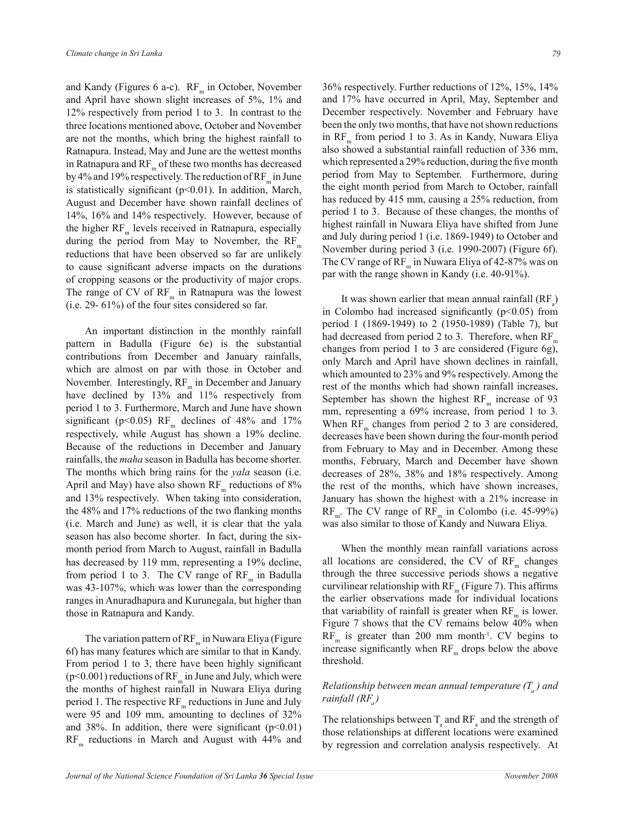and Kandy (Figures 6 a-c).  $RF_m$  in October, November and April have shown slight increases of 5%, 1% and 12% respectively from period 1 to 3. In contrast to the three locations mentioned above, October and November are not the months, which bring the highest rainfall to Ratnapura. Instead, May and June are the wettest months in Ratnapura and  $RF_{m}$  of these two months has decreased by 4% and 19% respectively. The reduction of  $\rm RF_m$  in June is statistically significant (p<0.01). In addition, March, August and December have shown rainfall declines of 14%, 16% and 14% respectively. However, because of the higher  $RF_{m}$  levels received in Ratnapura, especially during the period from May to November, the  $RF_{m}$ reductions that have been observed so far are unlikely to cause significant adverse impacts on the durations of cropping seasons or the productivity of major crops. The range of CV of  $RF_m$  in Ratnapura was the lowest (i.e. 29- 61%) of the four sites considered so far.

 An important distinction in the monthly rainfall pattern in Badulla (Figure 6e) is the substantial contributions from December and January rainfalls, which are almost on par with those in October and November. Interestingly,  $RF_{m}$  in December and January have declined by 13% and 11% respectively from period 1 to 3. Furthermore, March and June have shown significant (p<0.05)  $RF_m$  declines of 48% and 17% respectively, while August has shown a 19% decline. Because of the reductions in December and January rainfalls, the *maha* season in Badulla has become shorter. The months which bring rains for the *yala* season (i.e. April and May) have also shown  $RF_{m}$  reductions of 8% and 13% respectively. When taking into consideration, the 48% and 17% reductions of the two flanking months (i.e. March and June) as well, it is clear that the yala season has also become shorter. In fact, during the sixmonth period from March to August, rainfall in Badulla has decreased by 119 mm, representing a 19% decline, from period 1 to 3. The CV range of  $RF_{m}$  in Badulla was 43-107%, which was lower than the corresponding ranges in Anuradhapura and Kurunegala, but higher than those in Ratnapura and Kandy.

The variation pattern of  $RF_m$  in Nuwara Eliya (Figure 6f) has many features which are similar to that in Kandy. From period 1 to 3, there have been highly significant (p<0.001) reductions of  $RF_m$  in June and July, which were the months of highest rainfall in Nuwara Eliya during period 1. The respective  $RF_{m}$  reductions in June and July were 95 and 109 mm, amounting to declines of 32% and 38%. In addition, there were significant  $(p<0.01)$  $RF<sub>m</sub>$  reductions in March and August with 44% and 36% respectively. Further reductions of 12%, 15%, 14% and 17% have occurred in April, May, September and December respectively. November and February have been the only two months, that have not shown reductions in  $RF_{m}$  from period 1 to 3. As in Kandy, Nuwara Eliya also showed a substantial rainfall reduction of 336 mm, which represented a 29% reduction, during the five month period from May to September. Furthermore, during the eight month period from March to October, rainfall has reduced by 415 mm, causing a 25% reduction, from period 1 to 3. Because of these changes, the months of highest rainfall in Nuwara Eliya have shifted from June and July during period 1 (i.e. 1869-1949) to October and November during period 3 (i.e. 1990-2007) (Figure 6f). The CV range of  $RF_{m}$  in Nuwara Eliya of 42-87% was on par with the range shown in Kandy (i.e. 40-91%).

It was shown earlier that mean annual rainfall  $(RF_a)$ in Colombo had increased significantly  $(p<0.05)$  from period 1 (1869-1949) to 2 (1950-1989) (Table 7), but had decreased from period 2 to 3. Therefore, when  $RF_{m}$ changes from period 1 to 3 are considered (Figure 6g), only March and April have shown declines in rainfall, which amounted to 23% and 9% respectively. Among the rest of the months which had shown rainfall increases, September has shown the highest  $RF<sub>m</sub>$  increase of 93 mm, representing a 69% increase, from period 1 to 3. When  $RF_m$  changes from period 2 to 3 are considered, decreases have been shown during the four-month period from February to May and in December. Among these months, February, March and December have shown decreases of 28%, 38% and 18% respectively. Among the rest of the months, which have shown increases, January has shown the highest with a 21% increase in  $RF_{m}$ . The CV range of  $RF_{m}$  in Colombo (i.e. 45-99%) was also similar to those of Kandy and Nuwara Eliya.

 When the monthly mean rainfall variations across all locations are considered, the CV of  $RF<sub>m</sub>$  changes through the three successive periods shows a negative curvilinear relationship with  $RF_{m}$  (Figure 7). This affirms the earlier observations made for individual locations that variability of rainfall is greater when  $RF_{m}$  is lower. Figure 7 shows that the CV remains below 40% when  $RF_{m}$  is greater than 200 mm month<sup>-1</sup>. CV begins to increase significantly when  $RF_{m}$  drops below the above threshold.

# *Relationship between mean annual temperature (T<sup>a</sup> ) and rainfall (RF<sup>a</sup> )*

The relationships between  $T_a$  and RF<sub>a</sub> and the strength of those relationships at different locations were examined by regression and correlation analysis respectively. At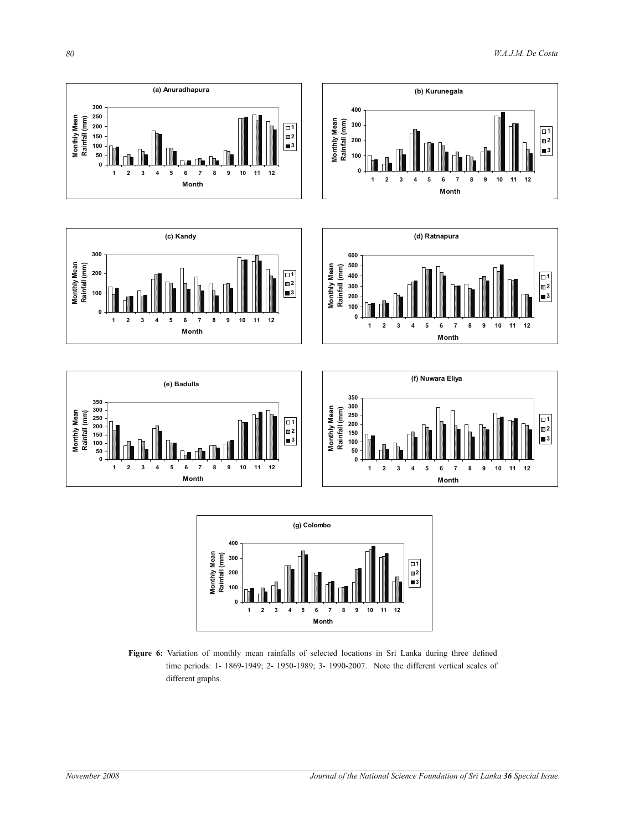











Figure 6: Variation of monthly mean rainfalls of selected locations in Sri Lanka during three defined time periods: 1- 1869-1949; 2- 1950-1989; 3- 1990-2007. Note the different vertical scales of different graphs.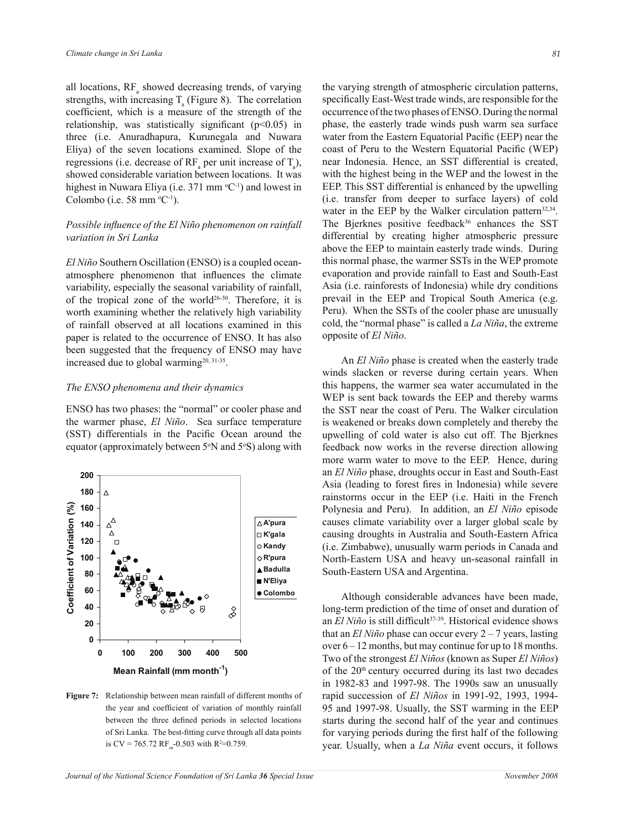all locations,  $RF_a$  showed decreasing trends, of varying strengths, with increasing  $T_a$  (Figure 8). The correlation coefficient, which is a measure of the strength of the relationship, was statistically significant  $(p<0.05)$  in three (i.e. Anuradhapura, Kurunegala and Nuwara Eliya) of the seven locations examined. Slope of the regressions (i.e. decrease of  $RF_a$  per unit increase of  $T_a$ ), showed considerable variation between locations. It was highest in Nuwara Eliya (i.e. 371 mm  $^{\circ}C^{-1}$ ) and lowest in Colombo (i.e. 58 mm  $^{\circ}C^{-1}$ ).

### *Possible influence of the El Niño phenomenon on rainfall variation in Sri Lanka*

*El Niño* Southern Oscillation (ENSO) is a coupled oceanatmosphere phenomenon that influences the climate variability, especially the seasonal variability of rainfall, of the tropical zone of the world<sup>26-30</sup>. Therefore, it is worth examining whether the relatively high variability of rainfall observed at all locations examined in this paper is related to the occurrence of ENSO. It has also been suggested that the frequency of ENSO may have increased due to global warming<sup>20, 31-35</sup>.

### *The ENSO phenomena and their dynamics*

ENSO has two phases: the "normal" or cooler phase and the warmer phase, *El Niño*. Sea surface temperature (SST) differentials in the Pacific Ocean around the equator (approximately between  $5°N$  and  $5°S$ ) along with



**Figure 7:** Relationship between mean rainfall of different months of the year and coefficient of variation of monthly rainfall between the three defined periods in selected locations of Sri Lanka. The best-fitting curve through all data points is CV = 765.72 RF<sub>m</sub>-0.503 with R<sup>2</sup>=0.759.

the varying strength of atmospheric circulation patterns, specifically East-West trade winds, are responsible for the occurrence of the two phases of ENSO. During the normal phase, the easterly trade winds push warm sea surface water from the Eastern Equatorial Pacific (EEP) near the coast of Peru to the Western Equatorial Pacific (WEP) near Indonesia. Hence, an SST differential is created, with the highest being in the WEP and the lowest in the EEP. This SST differential is enhanced by the upwelling (i.e. transfer from deeper to surface layers) of cold water in the EEP by the Walker circulation pattern<sup>32,34</sup>. The Bjerknes positive feedback<sup>36</sup> enhances the SST differential by creating higher atmospheric pressure above the EEP to maintain easterly trade winds. During this normal phase, the warmer SSTs in the WEP promote evaporation and provide rainfall to East and South-East Asia (i.e. rainforests of Indonesia) while dry conditions prevail in the EEP and Tropical South America (e.g. Peru). When the SSTs of the cooler phase are unusually cold, the "normal phase" is called a *La Niña*, the extreme opposite of *El Niño*.

 An *El Niño* phase is created when the easterly trade winds slacken or reverse during certain years. When this happens, the warmer sea water accumulated in the WEP is sent back towards the EEP and thereby warms the SST near the coast of Peru. The Walker circulation is weakened or breaks down completely and thereby the upwelling of cold water is also cut off. The Bjerknes feedback now works in the reverse direction allowing more warm water to move to the EEP. Hence, during an *El Niño* phase, droughts occur in East and South-East Asia (leading to forest fires in Indonesia) while severe rainstorms occur in the EEP (i.e. Haiti in the French Polynesia and Peru). In addition, an *El Niño* episode causes climate variability over a larger global scale by causing droughts in Australia and South-Eastern Africa (i.e. Zimbabwe), unusually warm periods in Canada and North-Eastern USA and heavy un-seasonal rainfall in South-Eastern USA and Argentina.

 Although considerable advances have been made, long-term prediction of the time of onset and duration of an *El Niño* is still difficult<sup>37-39</sup>. Historical evidence shows that an *El Niño* phase can occur every 2 – 7 years, lasting over  $6 - 12$  months, but may continue for up to 18 months. Two of the strongest *El Niños* (known as Super *El Niños*) of the  $20<sup>th</sup>$  century occurred during its last two decades in 1982-83 and 1997-98. The 1990s saw an unusually rapid succession of *El Niños* in 1991-92, 1993, 1994- 95 and 1997-98. Usually, the SST warming in the EEP starts during the second half of the year and continues for varying periods during the first half of the following year. Usually, when a *La Niña* event occurs, it follows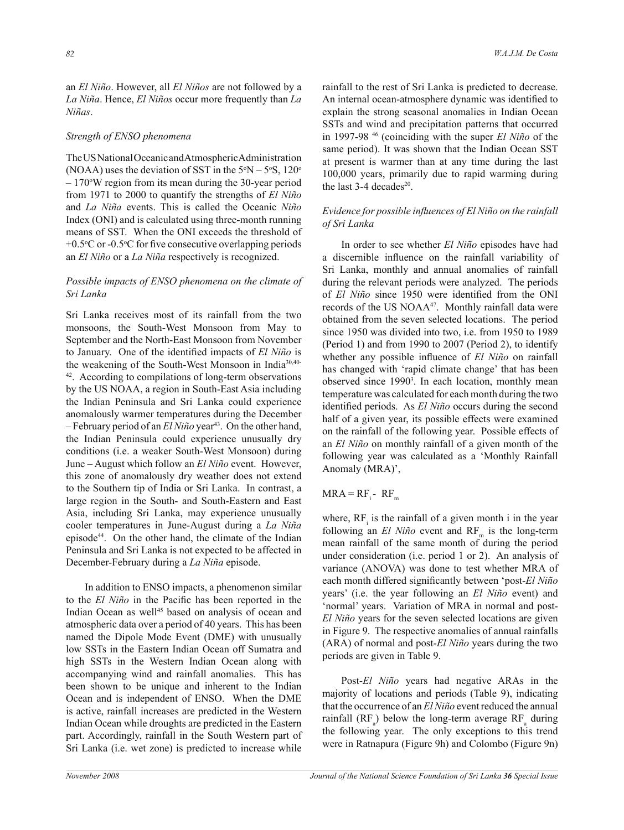an *El Niño*. However, all *El Niños* are not followed by a *La Niña*. Hence, *El Niños* occur more frequently than *La Niñas*.

#### *Strength of ENSO phenomena*

The US National Oceanic and Atmospheric Administration (NOAA) uses the deviation of SST in the  $5^{\circ}N - 5^{\circ}S$ , 120<sup>o</sup>  $-170^{\circ}$ W region from its mean during the 30-year period from 1971 to 2000 to quantify the strengths of *El Niño* and *La Niña* events. This is called the Oceanic *Niño* Index (ONI) and is calculated using three-month running means of SST. When the ONI exceeds the threshold of  $+0.5$ <sup>o</sup>C or -0.5<sup>o</sup>C for five consecutive overlapping periods an *El Niño* or a *La Niña* respectively is recognized.

### *Possible impacts of ENSO phenomena on the climate of Sri Lanka*

Sri Lanka receives most of its rainfall from the two monsoons, the South-West Monsoon from May to September and the North-East Monsoon from November to January. One of the identified impacts of *El Niño* is the weakening of the South-West Monsoon in India30,40- <sup>42</sup>. According to compilations of long-term observations by the US NOAA, a region in South-East Asia including the Indian Peninsula and Sri Lanka could experience anomalously warmer temperatures during the December  $-$  February period of an *El Niño* year<sup>43</sup>. On the other hand, the Indian Peninsula could experience unusually dry conditions (i.e. a weaker South-West Monsoon) during June – August which follow an *El Niño* event. However, this zone of anomalously dry weather does not extend to the Southern tip of India or Sri Lanka. In contrast, a large region in the South- and South-Eastern and East Asia, including Sri Lanka, may experience unusually cooler temperatures in June-August during a *La Niña*  episode<sup>44</sup>. On the other hand, the climate of the Indian Peninsula and Sri Lanka is not expected to be affected in December-February during a *La Niña* episode.

 In addition to ENSO impacts, a phenomenon similar to the *El Niño* in the Pacific has been reported in the Indian Ocean as well<sup>45</sup> based on analysis of ocean and atmospheric data over a period of 40 years. This has been named the Dipole Mode Event (DME) with unusually low SSTs in the Eastern Indian Ocean off Sumatra and high SSTs in the Western Indian Ocean along with accompanying wind and rainfall anomalies. This has been shown to be unique and inherent to the Indian Ocean and is independent of ENSO. When the DME is active, rainfall increases are predicted in the Western Indian Ocean while droughts are predicted in the Eastern part. Accordingly, rainfall in the South Western part of Sri Lanka (i.e. wet zone) is predicted to increase while

rainfall to the rest of Sri Lanka is predicted to decrease. An internal ocean-atmosphere dynamic was identified to explain the strong seasonal anomalies in Indian Ocean SSTs and wind and precipitation patterns that occurred in 1997-98 <sup>46</sup> (coinciding with the super *El Niño* of the same period). It was shown that the Indian Ocean SST at present is warmer than at any time during the last 100,000 years, primarily due to rapid warming during the last  $3-4$  decades<sup>20</sup>.

## *Evidence for possible influences of El Niño on the rainfall of Sri Lanka*

In order to see whether *El Niño* episodes have had a discernible influence on the rainfall variability of Sri Lanka, monthly and annual anomalies of rainfall during the relevant periods were analyzed. The periods of *El Niño* since 1950 were identified from the ONI records of the US NOAA<sup>47</sup>. Monthly rainfall data were obtained from the seven selected locations. The period since 1950 was divided into two, i.e. from 1950 to 1989 (Period 1) and from 1990 to 2007 (Period 2), to identify whether any possible influence of *El Niño* on rainfall has changed with 'rapid climate change' that has been observed since 1990<sup>3</sup> . In each location, monthly mean temperature was calculated for each month during the two identified periods. As *El Niño* occurs during the second half of a given year, its possible effects were examined on the rainfall of the following year. Possible effects of an *El Niño* on monthly rainfall of a given month of the following year was calculated as a 'Monthly Rainfall Anomaly (MRA)',

## $MRA = RF_i - RF_m$

where,  $RF_i$  is the rainfall of a given month i in the year following an  $El Niño$  event and  $RF<sub>m</sub>$  is the long-term mean rainfall of the same month of during the period under consideration (i.e. period 1 or 2). An analysis of variance (ANOVA) was done to test whether MRA of each month differed significantly between 'post-*El Niño* years' (i.e. the year following an *El Niño* event) and 'normal' years. Variation of MRA in normal and post-*El Niño* years for the seven selected locations are given in Figure 9. The respective anomalies of annual rainfalls (ARA) of normal and post-*El Niño* years during the two periods are given in Table 9.

 Post-*El Niño* years had negative ARAs in the majority of locations and periods (Table 9), indicating that the occurrence of an *El Niño* event reduced the annual rainfall ( $RF_a$ ) below the long-term average  $RF_a$  during the following year. The only exceptions to this trend were in Ratnapura (Figure 9h) and Colombo (Figure 9n)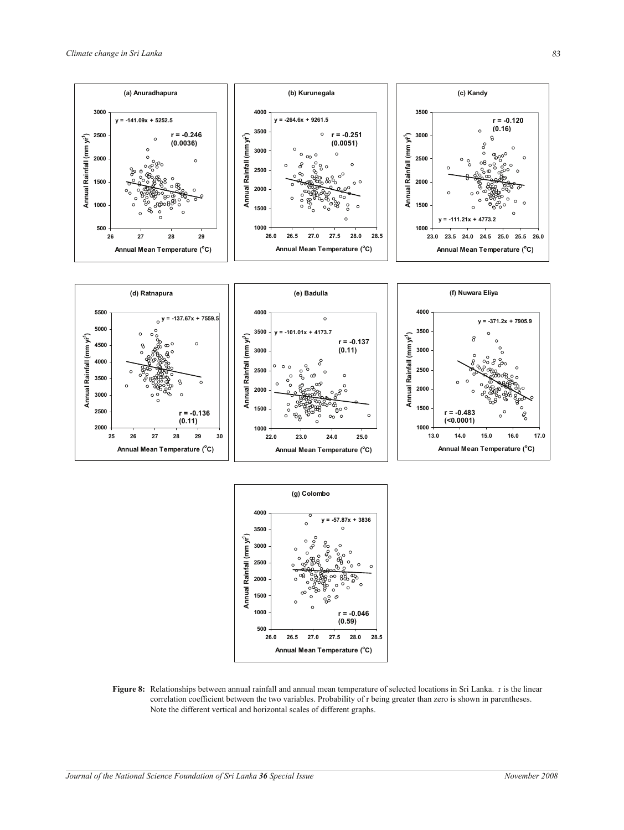**500**

**1000**

**1500**

**Annual Rainfall (mm yr-1** Annual Rainfall (mm yr<sup>1</sup>)

**2000**

**2500**

**3000**

**(a) Anuradhapura**

**r = -0.246 (0.0036)**

 $\circ$ 

**26 27 28 29 Annual Mean Temperature (<sup>o</sup>C)**

**y = -141.09x + 5252.5**





**Annual Rainfall (mm yr-1** Annual Rainfall (mm yr<sup>1</sup>)



**Figure 8:** Relationships between annual rainfall and annual mean temperature of selected locations in Sri Lanka. r is the linear correlation coefficient between the two variables. Probability of r being greater than zero is shown in parentheses. Note the different vertical and horizontal scales of different graphs.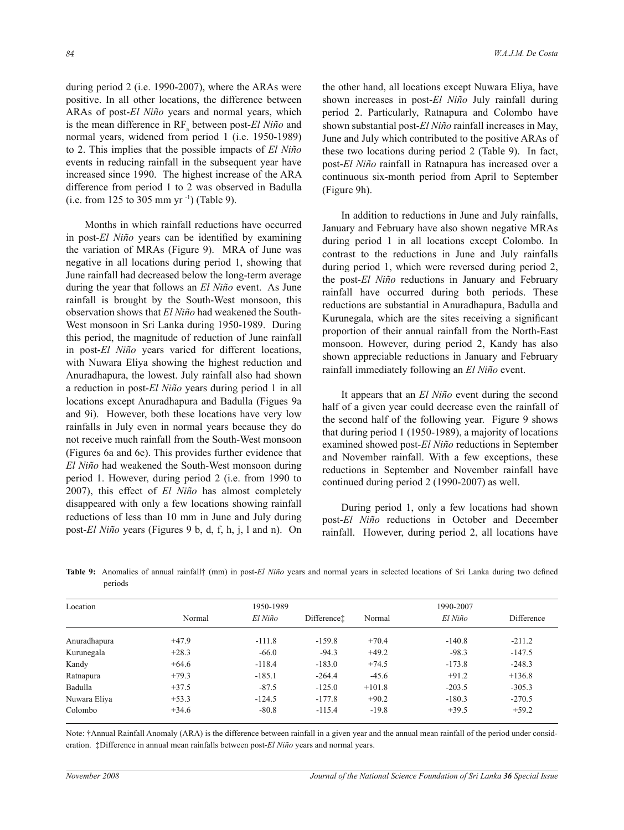during period 2 (i.e. 1990-2007), where the ARAs were positive. In all other locations, the difference between ARAs of post-*El Niño* years and normal years, which is the mean difference in RF<sub>a</sub> between post-*El Niño* and normal years, widened from period 1 (i.e. 1950-1989) to 2. This implies that the possible impacts of *El Niño* events in reducing rainfall in the subsequent year have increased since 1990. The highest increase of the ARA difference from period 1 to 2 was observed in Badulla (i.e. from 125 to 305 mm yr  $^{-1}$ ) (Table 9).

 Months in which rainfall reductions have occurred in post-*El Niño* years can be identified by examining the variation of MRAs (Figure 9). MRA of June was negative in all locations during period 1, showing that June rainfall had decreased below the long-term average during the year that follows an *El Niño* event. As June rainfall is brought by the South-West monsoon, this observation shows that *El Niño* had weakened the South-West monsoon in Sri Lanka during 1950-1989. During this period, the magnitude of reduction of June rainfall in post-*El Niño* years varied for different locations, with Nuwara Eliya showing the highest reduction and Anuradhapura, the lowest. July rainfall also had shown a reduction in post-*El Niño* years during period 1 in all locations except Anuradhapura and Badulla (Figues 9a and 9i). However, both these locations have very low rainfalls in July even in normal years because they do not receive much rainfall from the South-West monsoon (Figures 6a and 6e). This provides further evidence that *El Niño* had weakened the South-West monsoon during period 1. However, during period 2 (i.e. from 1990 to 2007), this effect of *El Niño* has almost completely disappeared with only a few locations showing rainfall reductions of less than 10 mm in June and July during post-*El Niño* years (Figures 9 b, d, f, h, j, l and n). On the other hand, all locations except Nuwara Eliya, have shown increases in post-*El Niño* July rainfall during period 2. Particularly, Ratnapura and Colombo have shown substantial post-*El Niño* rainfall increases in May, June and July which contributed to the positive ARAs of these two locations during period 2 (Table 9). In fact, post-*El Niño* rainfall in Ratnapura has increased over a continuous six-month period from April to September (Figure 9h).

 In addition to reductions in June and July rainfalls, January and February have also shown negative MRAs during period 1 in all locations except Colombo. In contrast to the reductions in June and July rainfalls during period 1, which were reversed during period 2, the post-*El Niño* reductions in January and February rainfall have occurred during both periods. These reductions are substantial in Anuradhapura, Badulla and Kurunegala, which are the sites receiving a significant proportion of their annual rainfall from the North-East monsoon. However, during period 2, Kandy has also shown appreciable reductions in January and February rainfall immediately following an *El Niño* event.

 It appears that an *El Niño* event during the second half of a given year could decrease even the rainfall of the second half of the following year. Figure 9 shows that during period 1 (1950-1989), a majority of locations examined showed post*-El Niño* reductions in September and November rainfall. With a few exceptions, these reductions in September and November rainfall have continued during period 2 (1990-2007) as well.

 During period 1, only a few locations had shown post-*El Niño* reductions in October and December rainfall. However, during period 2, all locations have

| Location     |         | 1950-1989 |             |          | 1990-2007 |            |
|--------------|---------|-----------|-------------|----------|-----------|------------|
|              | Normal  | El Niño   | Differencet | Normal   | El Niño   | Difference |
| Anuradhapura | $+47.9$ | $-111.8$  | $-159.8$    | $+70.4$  | $-140.8$  | $-211.2$   |
| Kurunegala   | $+28.3$ | $-66.0$   | $-94.3$     | $+49.2$  | $-98.3$   | $-147.5$   |
| Kandy        | $+64.6$ | $-118.4$  | $-183.0$    | $+74.5$  | $-173.8$  | $-248.3$   |
| Ratnapura    | $+79.3$ | $-185.1$  | $-264.4$    | $-45.6$  | $+91.2$   | $+136.8$   |
| Badulla      | $+37.5$ | $-87.5$   | $-125.0$    | $+101.8$ | $-203.5$  | $-305.3$   |
| Nuwara Eliya | $+53.3$ | $-124.5$  | $-177.8$    | $+90.2$  | $-180.3$  | $-270.5$   |
| Colombo      | $+34.6$ | $-80.8$   | $-115.4$    | $-19.8$  | $+39.5$   | $+59.2$    |

**Table 9:** Anomalies of annual rainfall† (mm) in post-*El Niño* years and normal years in selected locations of Sri Lanka during two defined periods

Note: †Annual Rainfall Anomaly (ARA) is the difference between rainfall in a given year and the annual mean rainfall of the period under consideration. ‡Difference in annual mean rainfalls between post-*El Niño* years and normal years.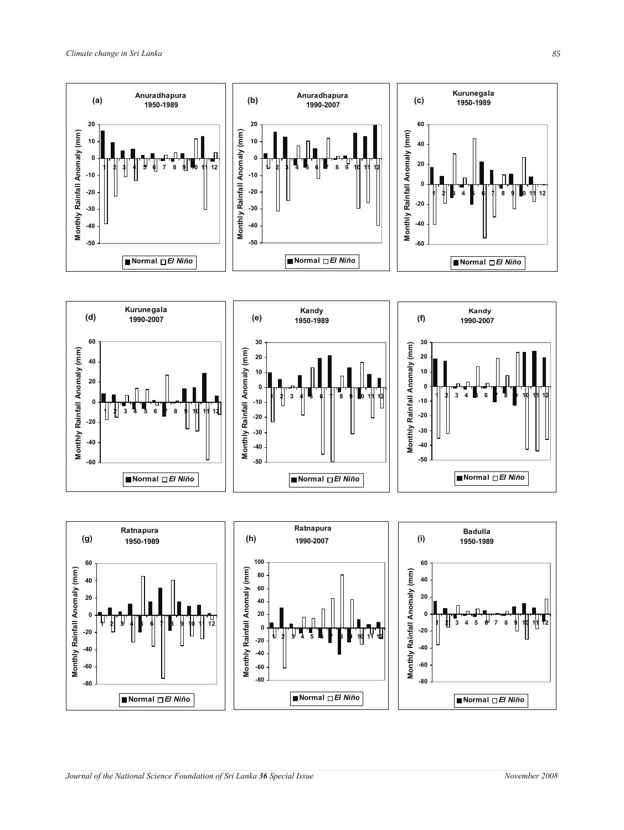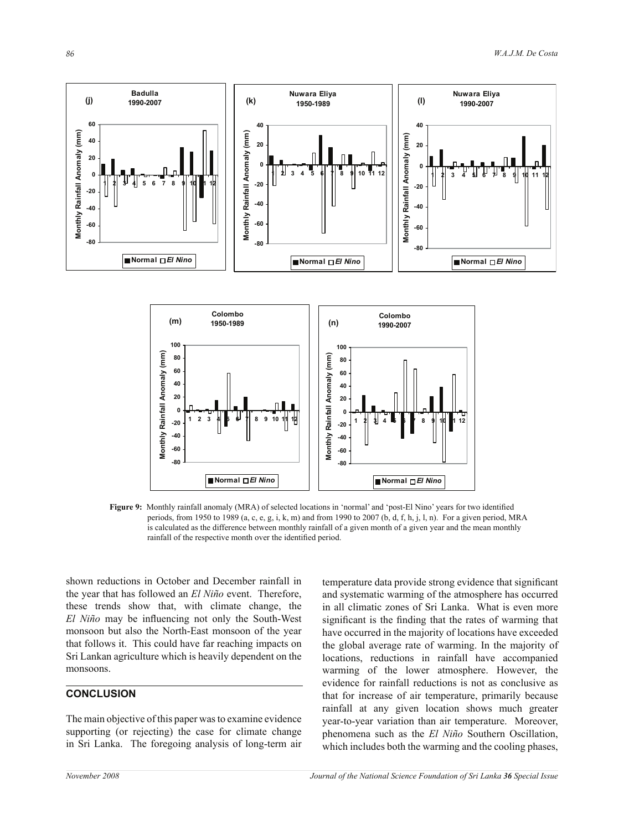

**Figure 9:** Monthly rainfall anomaly (MRA) of selected locations in 'normal' and 'post-El Nino' years for two identified periods, from 1950 to 1989 (a, c, e, g, i, k, m) and from 1990 to 2007 (b, d, f, h, j, l, n). For a given period, MRA is calculated as the difference between monthly rainfall of a given month of a given year and the mean monthly rainfall of the respective month over the identified period.

shown reductions in October and December rainfall in the year that has followed an *El Niño* event. Therefore, these trends show that, with climate change, the *El Niño* may be influencing not only the South-West monsoon but also the North-East monsoon of the year that follows it. This could have far reaching impacts on Sri Lankan agriculture which is heavily dependent on the monsoons.

**Normal** *El Nino*

# **CONCLUSION**

The main objective of this paper was to examine evidence supporting (or rejecting) the case for climate change in Sri Lanka. The foregoing analysis of long-term air temperature data provide strong evidence that significant and systematic warming of the atmosphere has occurred in all climatic zones of Sri Lanka. What is even more significant is the finding that the rates of warming that have occurred in the majority of locations have exceeded the global average rate of warming. In the majority of locations, reductions in rainfall have accompanied warming of the lower atmosphere. However, the evidence for rainfall reductions is not as conclusive as that for increase of air temperature, primarily because rainfall at any given location shows much greater year-to-year variation than air temperature. Moreover, phenomena such as the *El Niño* Southern Oscillation, which includes both the warming and the cooling phases,

**Normal** *El Nino*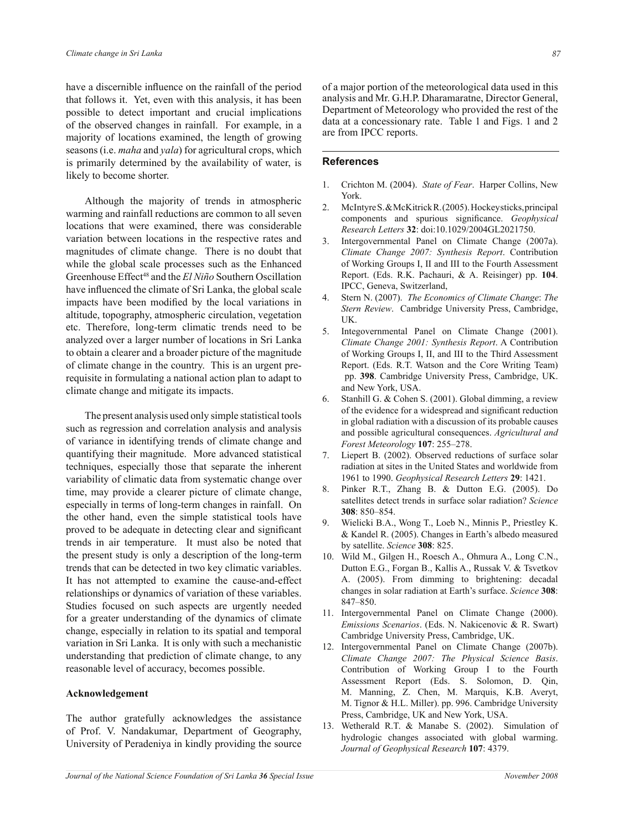have a discernible influence on the rainfall of the period that follows it. Yet, even with this analysis, it has been possible to detect important and crucial implications of the observed changes in rainfall. For example, in a majority of locations examined, the length of growing seasons (i.e. *maha* and *yala*) for agricultural crops, which is primarily determined by the availability of water, is likely to become shorter.

 Although the majority of trends in atmospheric warming and rainfall reductions are common to all seven locations that were examined, there was considerable variation between locations in the respective rates and magnitudes of climate change. There is no doubt that while the global scale processes such as the Enhanced Greenhouse Effect<sup>48</sup> and the *El Niño* Southern Oscillation have influenced the climate of Sri Lanka, the global scale impacts have been modified by the local variations in altitude, topography, atmospheric circulation, vegetation etc. Therefore, long-term climatic trends need to be analyzed over a larger number of locations in Sri Lanka to obtain a clearer and a broader picture of the magnitude of climate change in the country. This is an urgent prerequisite in formulating a national action plan to adapt to climate change and mitigate its impacts.

 The present analysis used only simple statistical tools such as regression and correlation analysis and analysis of variance in identifying trends of climate change and quantifying their magnitude. More advanced statistical techniques, especially those that separate the inherent variability of climatic data from systematic change over time, may provide a clearer picture of climate change, especially in terms of long-term changes in rainfall. On the other hand, even the simple statistical tools have proved to be adequate in detecting clear and significant trends in air temperature. It must also be noted that the present study is only a description of the long-term trends that can be detected in two key climatic variables. It has not attempted to examine the cause-and-effect relationships or dynamics of variation of these variables. Studies focused on such aspects are urgently needed for a greater understanding of the dynamics of climate change, especially in relation to its spatial and temporal variation in Sri Lanka. It is only with such a mechanistic understanding that prediction of climate change, to any reasonable level of accuracy, becomes possible.

#### **Acknowledgement**

The author gratefully acknowledges the assistance of Prof. V. Nandakumar, Department of Geography, University of Peradeniya in kindly providing the source of a major portion of the meteorological data used in this analysis and Mr. G.H.P. Dharamaratne, Director General, Department of Meteorology who provided the rest of the data at a concessionary rate. Table 1 and Figs. 1 and 2 are from IPCC reports.

## **References**

- 1. Crichton M. (2004). *State of Fear*. Harper Collins, New York.
- 2. McIntyre S. & McKitrick R. (2005). Hockey sticks, principal components and spurious significance. *Geophysical Research Letters* **32**: doi:10.1029/2004GL2021750.
- 3. Intergovernmental Panel on Climate Change (2007a). *Climate Change 2007: Synthesis Report*. Contribution of Working Groups I, II and III to the Fourth Assessment Report. (Eds. R.K. Pachauri, & A. Reisinger) pp. **104**. IPCC, Geneva, Switzerland,
- 4. Stern N. (2007). *The Economics of Climate Change*: *The Stern Review*. Cambridge University Press, Cambridge, UK.
- 5. Integovernmental Panel on Climate Change (2001). *Climate Change 2001: Synthesis Report*. A Contribution of Working Groups I, II, and III to the Third Assessment Report. (Eds. R.T. Watson and the Core Writing Team) pp. **398**. Cambridge University Press, Cambridge, UK. and New York, USA.
- 6. Stanhill G. & Cohen S. (2001). Global dimming, a review of the evidence for a widespread and significant reduction in global radiation with a discussion of its probable causes and possible agricultural consequences. *Agricultural and Forest Meteorology* **107**: 255–278.
- 7. Liepert B. (2002). Observed reductions of surface solar radiation at sites in the United States and worldwide from 1961 to 1990. *Geophysical Research Letters* **29**: 1421.
- 8. Pinker R.T., Zhang B. & Dutton E.G. (2005). Do satellites detect trends in surface solar radiation? *Science* **308**: 850–854.
- 9. Wielicki B.A., Wong T., Loeb N., Minnis P., Priestley K. & Kandel R. (2005). Changes in Earth's albedo measured by satellite. *Science* **308**: 825.
- 10. Wild M., Gilgen H., Roesch A., Ohmura A., Long C.N., Dutton E.G., Forgan B., Kallis A., Russak V. & Tsvetkov A. (2005). From dimming to brightening: decadal changes in solar radiation at Earth's surface. *Science* **308**: 847–850.
- 11. Intergovernmental Panel on Climate Change (2000). *Emissions Scenarios*. (Eds. N. Nakicenovic & R. Swart) Cambridge University Press, Cambridge, UK.
- 12. Intergovernmental Panel on Climate Change (2007b). *Climate Change 2007: The Physical Science Basis*. Contribution of Working Group I to the Fourth Assessment Report (Eds. S. Solomon, D. Qin, M. Manning, Z. Chen, M. Marquis, K.B. Averyt, M. Tignor & H.L. Miller). pp. 996. Cambridge University Press, Cambridge, UK and New York, USA.
- 13. Wetherald R.T. & Manabe S. (2002). Simulation of hydrologic changes associated with global warming. *Journal of Geophysical Research* **107**: 4379.